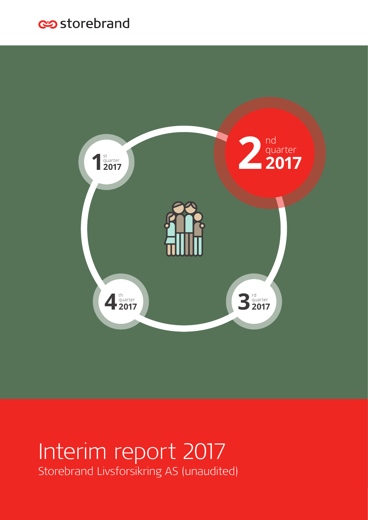## es storebrand



# Interim report 2017 Storebrand Livsforsikring AS (unaudited)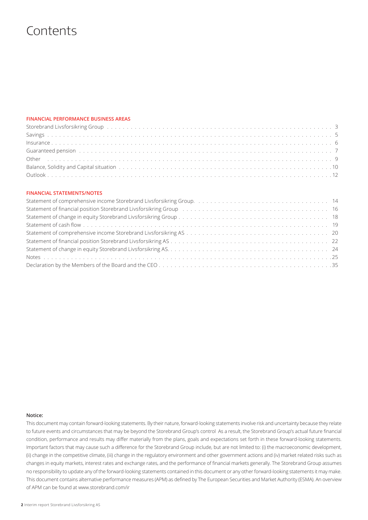## **Contents**

## **FINANCIAL PERFORMANCE BUSINESS AREAS**

| Storebrand Livsforsikring Group by the content of the content of the content of the content of the content of the content of the content of the content of the content of the content of the content of the content of the con |  |
|--------------------------------------------------------------------------------------------------------------------------------------------------------------------------------------------------------------------------------|--|
|                                                                                                                                                                                                                                |  |
|                                                                                                                                                                                                                                |  |
| Guaranteed pension (and a series of the control of the control of the control of the control of the control of the control of the control of the control of the control of the control of the control of the control of the co |  |
|                                                                                                                                                                                                                                |  |
|                                                                                                                                                                                                                                |  |
|                                                                                                                                                                                                                                |  |

## **FINANCIAL STATEMENTS/NOTES**

| Statement of financial position Storebrand Livsforsikring Group (and all conductances of the statement of financial position Storebrand Livsforsikring Group (and all conductances of the statement of the statement of the st |  |
|--------------------------------------------------------------------------------------------------------------------------------------------------------------------------------------------------------------------------------|--|
|                                                                                                                                                                                                                                |  |
|                                                                                                                                                                                                                                |  |
|                                                                                                                                                                                                                                |  |
|                                                                                                                                                                                                                                |  |
|                                                                                                                                                                                                                                |  |
|                                                                                                                                                                                                                                |  |
|                                                                                                                                                                                                                                |  |

#### **Notice:**

This document may contain forward-looking statements. By their nature, forward-looking statements involve risk and uncertainty because they relate to future events and circumstances that may be beyond the Storebrand Group's control As a result, the Storebrand Group's actual future financial condition, performance and results may differ materially from the plans, goals and expectations set forth in these forward-looking statements. Important factors that may cause such a difference for the Storebrand Group include, but are not limited to: (i) the macroeconomic development, (ii) change in the competitive climate, (iii) change in the regulatory environment and other government actions and (iv) market related risks such as changes in equity markets, interest rates and exchange rates, and the performance of financial markets generally. The Storebrand Group assumes no responsibility to update any of the forward-looking statements contained in this document or any other forward-looking statements it may make. This document contains alternative performance measures (APM) as defined by The European Securities and Market Authority (ESMA). An overview of APM can be found at www.storebrand.com/ir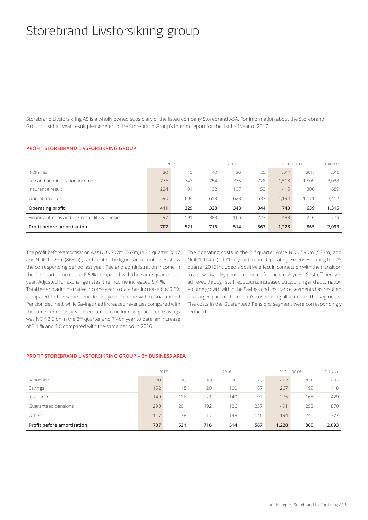# Storebrand Livsforsikring group

Storebrand Livsforsikring AS is a wholly owned subsidiary of the listed company Storebrand ASA. For information about the Storebrand Group's 1st half year result please refer to the Storebrand Group's interim report for the 1st half year of 2017.

### **PROFIT STOREBRAND LIVSFORSIKRING GROUP**

|                                                 |        | 2017<br>2016 |        |        |        |          | $01.01 - 30.06$ | Full Year |
|-------------------------------------------------|--------|--------------|--------|--------|--------|----------|-----------------|-----------|
| (NOK million)                                   | 20     | 1Q           | 40     | 3Q     | 2Q     | 2017     | 2016            | 2016      |
| Fee and administration income                   | 776    | 743          | 754    | 775    | 728    | 1,518    | 1,509           | 3,038     |
| Insurance result                                | 224    | 191          | 192    | 197    | 153    | 415      | 300             | 689       |
| Operational cost                                | $-590$ | $-604$       | $-618$ | $-623$ | $-537$ | $-1.194$ | $-1.171$        | $-2,412$  |
| Operating profit                                | 411    | 329          | 328    | 348    | 344    | 740      | 639             | 1,315     |
| Financial itmens and risk result life & pension | 297    | 191          | 388    | 166    | 223    | 488      | 226             | 779       |
| Profit before amortisation                      | 707    | 521          | 716    | 514    | 567    | 1.228    | 865             | 2.093     |

The profit before amortisation was NOK 707m (567m) in 2nd quarter 2017 and NOK 1.228m (865m) year to date. The figures in parentheses show the corresponding period last year. Fee and administration income in the 2nd quarter increased 6.6 % compared with the same quarter last year. Adjusted for exchange rates, the income increased 9.4 %.

Total fee and administrative income year to date has increased by 0.6% compared to the same periode last year. Income within Guaranteed Pension declined, while Savings had increased revenues compared with the same period last year. Premium income for non-guaranteed savings was NOK 3.6 bn in the 2<sup>nd</sup> quarter and 7.4bn year to date, an increase of 3.1 % and 1.8 compared with the same period in 2016.

The operating costs in the 2<sup>nd</sup> quarter were NOK 590m (537m) and NOK 1.194m (1.171m) year to date. Operating expenses during the 2<sup>nd</sup> quarter 2016 included a positive effect in connection with the transition to a new disability pension scheme for the employees. Cost-efficiency is achieved through staff reductions, increased outsourcing and automation Volume growth within the Savings and Insurance segments has resulted in a larger part of the Group's costs being allocated to the segments. The costs in the Guaranteed Pensions segment were correspondingly reduced.

## **PROFIT STOREBRAND LIVSFORSIKRING GROUP – BY BUSINESS AREA**

|                            | 2017 |     |       | 2016 |     |       | $01.01 - 30.06$ |       |  |
|----------------------------|------|-----|-------|------|-----|-------|-----------------|-------|--|
| (NOK million)              | 20   | 10  | 40    | 3Q   | 2Q  | 2017  | 2016            | 2016  |  |
| Savings                    | 152  | 115 | 120   | 100  | 87  | 267   | 199             | 418   |  |
| Insurance                  | 149  | 126 | 121   | 140  | 97  | 275   | 168             | 429   |  |
| Guaranteed pensions        | 290  | 201 | 492   | 126  | 237 | 491   | 252             | 870   |  |
| Other                      | 117  | 78  | $-17$ | 148  | 146 | 194   | 246             | 377   |  |
| Profit before amortisation | 707  | 521 | 716   | 514  | 567 | 1,228 | 865             | 2,093 |  |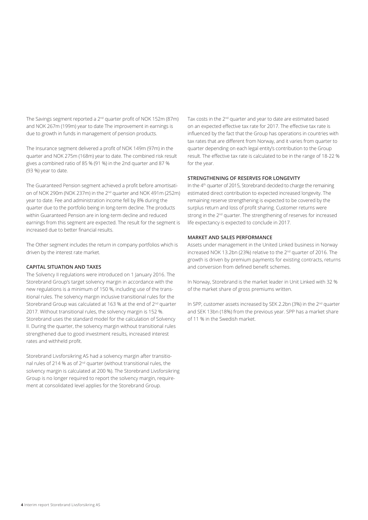The Savings segment reported a 2<sup>nd</sup> quarter profit of NOK 152m (87m) and NOK 267m (199m) year to date The improvement in earnings is due to growth in funds in management of pension products.

The Insurance segment delivered a profit of NOK 149m (97m) in the quarter and NOK 275m (168m) year to date. The combined risk result gives a combined ratio of 85 % (91 %) in the 2nd quarter and 87 % (93 %) year to date.

The Guaranteed Pension segment achieved a profit before amortisation of NOK 290m (NOK 237m) in the 2nd quarter and NOK 491m (252m) year to date. Fee and administration income fell by 8% during the quarter due to the portfolio being in long-term decline. The products within Guaranteed Pension are in long-term decline and reduced earnings from this segment are expected. The result for the segment is increased due to better financial results.

The Other segment includes the return in company portfolios which is driven by the interest rate market.

### **CAPITAL SITUATION AND TAXES**

The Solvency II regulations were introduced on 1 January 2016. The Storebrand Group's target solvency margin in accordance with the new regulations is a minimum of 150 %, including use of the transitional rules. The solvency margin inclusive transitional rules for the Storebrand Group was calculated at 163 % at the end of 2<sup>nd</sup> quarter 2017. Without transitional rules, the solvency margin is 152 %. Storebrand uses the standard model for the calculation of Solvency II. During the quarter, the solvency margin without transitional rules strengthened due to good investment results, increased interest rates and withheld profit.

Storebrand Livsforsikring AS had a solvency margin after transitional rules of 214 % as of 2nd quarter (without transitional rules, the solvency margin is calculated at 200 %). The Storebrand Livsforsikring Group is no longer required to report the solvency margin, requirement at consolidated level applies for the Storebrand Group.

Tax costs in the 2<sup>nd</sup> quarter and year to date are estimated based on an expected effective tax rate for 2017. The effective tax rate is influenced by the fact that the Group has operations in countries with tax rates that are different from Norway, and it varies from quarter to quarter depending on each legal entity's contribution to the Group result. The effective tax rate is calculated to be in the range of 18-22 % for the year.

#### **STRENGTHENING OF RESERVES FOR LONGEVITY**

In the 4<sup>th</sup> quarter of 2015, Storebrand decided to charge the remaining estimated direct contribution to expected increased longevity. The remaining reserve strengthening is expected to be covered by the surplus return and loss of profit sharing. Customer returns were strong in the 2<sup>nd</sup> quarter. The strengthening of reserves for increased life expectancy is expected to conclude in 2017.

### **MARKET AND SALES PERFORMANCE**

Assets under management in the United Linked business in Norway increased NOK 13.2bn (23%) relative to the 2<sup>nd</sup> quarter of 2016. The growth is driven by premium payments for existing contracts, returns and conversion from defined benefit schemes.

In Norway, Storebrand is the market leader in Unit Linked with 32 % of the market share of gross premiums written.

In SPP, customer assets increased by SEK 2.2bn (3%) in the 2nd quarter and SEK 13bn (18%) from the previous year. SPP has a market share of 11 % in the Swedish market.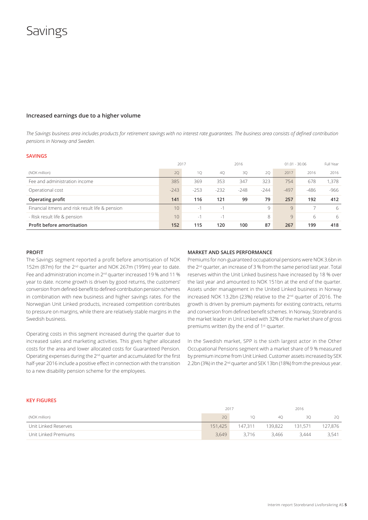## **Savings**

### **Increased earnings due to a higher volume**

*The Savings business area includes products for retirement savings with no interest rate guarantees. The business area consists of defined contribution pensions in Norway and Sweden.* 

#### **SAVINGS**

|                                                 | 2017            |        | 2016   |        |        | $01.01 - 30.06$ | Full Year |       |
|-------------------------------------------------|-----------------|--------|--------|--------|--------|-----------------|-----------|-------|
| (NOK million)                                   | 20              | 10     | 40     | 3Q     | 20     | 2017            | 2016      | 2016  |
| Fee and administration income                   | 385             | 369    | 353    | 347    | 323    | 754             | 678       | 1.378 |
| Operational cost                                | $-243$          | $-253$ | $-232$ | $-248$ | $-244$ | $-497$          | $-486$    | -966  |
| Operating profit                                | 141             | 116    | 121    | 99     | 79     | 257             | 192       | 412   |
| Financial itmens and risk result life & pension | 10              | $-1$   | $\sim$ |        | 9      | Q               |           | 6     |
| - Risk result life & pension                    | 10 <sup>°</sup> | $-1$   | ÷      |        | 8      | 9               | 6         | 6     |
| Profit before amortisation                      | 152             | 115    | 120    | 100    | 87     | 267             | 199       | 418   |

#### **PROFIT**

The Savings segment reported a profit before amortisation of NOK 152m (87m) for the 2<sup>nd</sup> quarter and NOK 267m (199m) year to date. Fee and administration income in 2<sup>nd</sup> quarter increased 19 % and 11 % year to date. ncome growth is driven by good returns, the customers' conversion from defined-benefit to defined-contribution pension schemes in combination with new business and higher savings rates. For the Norwegian Unit Linked products, increased competition contributes to pressure on margins, while there are relatively stable margins in the Swedish business.

Operating costs in this segment increased during the quarter due to increased sales and marketing activities. This gives higher allocated costs for the area and lower allocated costs for Guaranteed Pension. Operating expenses during the 2nd quarter and accumulated for the first half-year 2016 include a positive effect in connection with the transition to a new disability pension scheme for the employees.

#### **MARKET AND SALES PERFORMANCE**

Premiums for non-guaranteed occupational pensions were NOK 3.6bn in the 2nd quarter, an increase of 3 % from the same period last year. Total reserves within the Unit Linked business have increased by 18 % over the last year and amounted to NOK 151bn at the end of the quarter. Assets under management in the United Linked business in Norway increased NOK 13.2bn (23%) relative to the 2nd quarter of 2016. The growth is driven by premium payments for existing contracts, returns and conversion from defined benefit schemes. In Norway, Storebrand is the market leader in Unit Linked with 32% of the market share of gross premiums written (by the end of 1<sup>st</sup> quarter.

In the Swedish market, SPP is the sixth largest actor in the Other Occupational Pensions segment with a market share of 9 % measured by premium income from Unit Linked. Customer assets increased by SEK 2.2bn (3%) in the 2<sup>nd</sup> quarter and SEK 13bn (18%) from the previous year.

#### **KEY FIGURES**

|                      | 2017    |         | 2016    |         |         |
|----------------------|---------|---------|---------|---------|---------|
| (NOK million)        | 20      |         | 40      | 30      | 20      |
| Unit Linked Reserves | 151,425 | 147.311 | 139.822 | 131.571 | 127,876 |
| Unit Linked Premiums | 3.649   | 3.716   | 3.466   | 3.444   | 3,541   |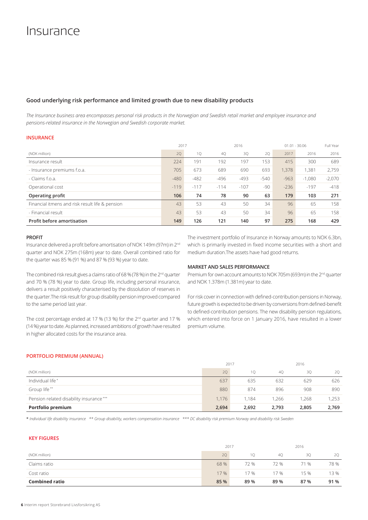## **Good underlying risk performance and limited growth due to new disability products**

*The Insurance business area encompasses personal risk products in the Norwegian and Swedish retail market and employee insurance and pensions-related insurance in the Norwegian and Swedish corporate market.*

### **INSURANCE**

|                                                 | 2017   |        |        | 2016   |        |        | $01.01 - 30.06$ |          |  |
|-------------------------------------------------|--------|--------|--------|--------|--------|--------|-----------------|----------|--|
| (NOK million)                                   | 2Q     | 1Q     | 4Q     | 3Q     | 20     | 2017   | 2016            | 2016     |  |
| Insurance result                                | 224    | 191    | 192    | 197    | 153    | 415    | 300             | 689      |  |
| - Insurance premiums f.o.a.                     | 705    | 673    | 689    | 690    | 693    | 1.378  | 1,381           | 2,759    |  |
| - Claims f.o.a.                                 | $-480$ | $-482$ | $-496$ | $-493$ | $-540$ | $-963$ | $-1,080$        | $-2,070$ |  |
| Operational cost                                | $-119$ | $-117$ | $-114$ | $-107$ | $-90$  | $-236$ | $-197$          | $-418$   |  |
| Operating profit                                | 106    | 74     | 78     | 90     | 63     | 179    | 103             | 271      |  |
| Financial itmens and risk result life & pension | 43     | 53     | 43     | 50     | 34     | 96     | 65              | 158      |  |
| - Financial result                              | 43     | 53     | 43     | 50     | 34     | 96     | 65              | 158      |  |
| <b>Profit before amortisation</b>               | 149    | 126    | 121    | 140    | 97     | 275    | 168             | 429      |  |

### **PROFIT**

Insurance delivered a profit before amortisation of NOK 149m (97m) in 2nd quarter and NOK 275m (168m) year to date. Overall combined ratio for the quarter was 85 % (91 %) and 87 % (93 %) year to date.

The combined risk result gives a claims ratio of 68 % (78 %) in the 2<sup>nd</sup> quarter and 70 % (78 %) year to date. Group life, including personal insurance, delivers a result positively characterised by the dissolution of reserves in the quarter.The risk result for group disability pension improved compared to the same period last year.

The cost percentage ended at 17 % (13 %) for the 2<sup>nd</sup> quarter and 17 % (14 %) year to date. As planned, increased ambitions of growth have resulted in higher allocated costs for the insurance area.

The investment portfolio of Insurance in Norway amounts to NOK 6.3bn, which is primarily invested in fixed income securities with a short and medium duration.The assets have had good returns.

### **MARKET AND SALES PERFORMANCE**

Premium for own account amounts to NOK 705m (693m) in the 2<sup>nd</sup> quarter and NOK 1.378m (1.381m) year to date.

For risk cover in connection with defined-contribution pensions in Norway, future growth is expected to be driven by conversions from defined-benefit to defined-contribution pensions. The new disability pension regulations, which entered into force on 1 January 2016, have resulted in a lower premium volume.

### **PORTFOLIO PREMIUM (ANNUAL)**

|                                         | 2017  |       |       | 2016  |       |  |
|-----------------------------------------|-------|-------|-------|-------|-------|--|
| (NOK million)                           | 20    | 10    | 40    | 30    | 20    |  |
| Individual life*                        | 637   | 635   | 632   | 629   | 626   |  |
| Group life**                            | 880   | 874   | 896   | 908   | 890   |  |
| Pension related disability insurance*** | 1.176 | 1.184 | .266  | 1.268 | 1,253 |  |
| Portfolio premium                       | 2,694 | 2,692 | 2,793 | 2,805 | 2,769 |  |

\* *Individual life disability insurance \*\* Group disability, workers compensation insurance \*\*\* DC disability risk premium Norway and disability risk Sweden*

## **KEY FIGURES**

|                       | 2017 |      |      | 2016 |      |  |
|-----------------------|------|------|------|------|------|--|
| (NOK million)         | 20   | 10   | 40   | 30   | 20   |  |
| Claims ratio          | 68 % | 72 % | 72 % | 71 % | 78 % |  |
| Cost ratio            | 17 % | 17 % | 17 % | 15 % | 13 % |  |
| <b>Combined ratio</b> | 85 % | 89 % | 89 % | 87%  | 91 % |  |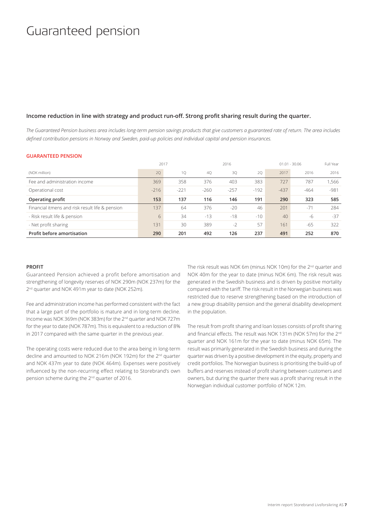## Guaranteed pension

## **Income reduction in line with strategy and product run-off. Strong profit sharing result during the quarter.**

*The Guaranteed Pension business area includes long-term pension savings products that give customers a guaranteed rate of return. The area includes defined contribution pensions in Norway and Sweden, paid-up policies and individual capital and pension insurances.*

#### **GUARANTEED PENSION**

|                                                 |        | 2017<br>2016<br>$01.01 - 30.06$ |        |        |        |        |        | Full Year |
|-------------------------------------------------|--------|---------------------------------|--------|--------|--------|--------|--------|-----------|
| (NOK million)                                   | 20     | 1Q                              | 40     | 30     | 20     | 2017   | 2016   | 2016      |
| Fee and administration income                   | 369    | 358                             | 376    | 403    | 383    | 727    | 787    | 1.566     |
| Operational cost                                | $-216$ | $-221$                          | $-260$ | $-257$ | $-192$ | $-437$ | $-464$ | $-981$    |
| Operating profit                                | 153    | 137                             | 116    | 146    | 191    | 290    | 323    | 585       |
| Financial itmens and risk result life & pension | 137    | 64                              | 376    | $-20$  | 46     | 201    | $-71$  | 284       |
| - Risk result life & pension                    | 6      | 34                              | $-13$  | $-18$  | $-10$  | 40     | -6     | $-37$     |
| - Net profit sharing                            | 131    | 30                              | 389    | $-2$   | 57     | 161    | -65    | 322       |
| Profit before amortisation                      | 290    | 201                             | 492    | 126    | 237    | 491    | 252    | 870       |

### **PROFIT**

Guaranteed Pension achieved a profit before amortisation and strengthening of longevity reserves of NOK 290m (NOK 237m) for the 2<sup>nd</sup> quarter and NOK 491m year to date (NOK 252m).

Fee and administration income has performed consistent with the fact that a large part of the portfolio is mature and in long-term decline. Income was NOK 369m (NOK 383m) for the 2<sup>nd</sup> quarter and NOK 727m for the year to date (NOK 787m). This is equivalent to a reduction of 8% in 2017 compared with the same quarter in the previous year.

The operating costs were reduced due to the area being in long-term decline and amounted to NOK 216m (NOK 192m) for the 2nd quarter and NOK 437m year to date (NOK 464m). Expenses were positively influenced by the non-recurring effect relating to Storebrand's own pension scheme during the 2nd quarter of 2016.

The risk result was NOK 6m (minus NOK 10m) for the 2<sup>nd</sup> quarter and NOK 40m for the year to date (minus NOK 6m). The risk result was generated in the Swedish business and is driven by positive mortality compared with the tariff. The risk result in the Norwegian business was restricted due to reserve strengthening based on the introduction of a new group disability pension and the general disability development in the population.

The result from profit sharing and loan losses consists of profit sharing and financial effects. The result was NOK 131m (NOK 57m) for the 2<sup>nd</sup> quarter and NOK 161m for the year to date (minus NOK 65m). The result was primarily generated in the Swedish business and during the quarter was driven by a positive development in the equity, property and credit portfolios. The Norwegian business is prioritising the build-up of buffers and reserves instead of profit sharing between customers and owners, but during the quarter there was a profit sharing result in the Norwegian individual customer portfolio of NOK 12m.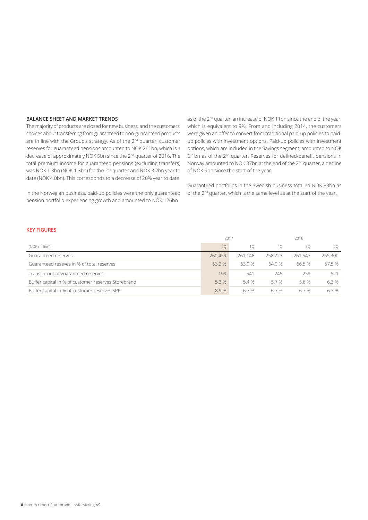## **BALANCE SHEET AND MARKET TRENDS**

The majority of products are closed for new business, and the customers' choices about transferring from guaranteed to non-guaranteed products are in line with the Group's strategy. As of the 2<sup>nd</sup> quarter, customer reserves for guaranteed pensions amounted to NOK 261bn, which is a decrease of approximately NOK 5bn since the 2<sup>nd</sup> quarter of 2016. The total premium income for guaranteed pensions (excluding transfers) was NOK 1.3bn (NOK 1.3bn) for the 2nd quarter and NOK 3.2bn year to date (NOK 4.0bn). This corresponds to a decrease of 20% year to date.

In the Norwegian business, paid-up policies were the only guaranteed pension portfolio experiencing growth and amounted to NOK 126bn

as of the 2<sup>nd</sup> quarter, an increase of NOK 11bn since the end of the year, which is equivalent to 9%. From and including 2014, the customers were given an offer to convert from traditional paid-up policies to paidup policies with investment options. Paid-up policies with investment options, which are included in the Savings segment, amounted to NOK 6.1bn as of the 2nd quarter. Reserves for defined-benefit pensions in Norway amounted to NOK 37bn at the end of the 2<sup>nd</sup> quarter, a decline of NOK 9bn since the start of the year.

Guaranteed portfolios in the Swedish business totalled NOK 83bn as of the 2<sup>nd</sup> quarter, which is the same level as at the start of the year.

### **KEY FIGURES**

|                                                     | 2017    |         |         |         |         |
|-----------------------------------------------------|---------|---------|---------|---------|---------|
| (NOK million)                                       | 20      | 10      | 40      | 30      | 20      |
| Guaranteed reserves                                 | 260,459 | 261.148 | 258,723 | 261.547 | 265,300 |
| Guaranteed reseves in % of total reserves           | 63.2 %  | 63.9%   | 64.9 %  | 66.5 %  | 67.5 %  |
| Transfer out of guaranteed reserves                 | 199     | 541     | 245     | 239     | 621     |
| Buffer capital in % of customer reserves Storebrand | 5.3 %   | 5.4 %   | 5.7%    | 5.6 %   | 6.3%    |
| Buffer capital in % of customer reserves SPP        | 8.9%    | 67%     | 6.7%    | 6.7 %   | 6.3 %   |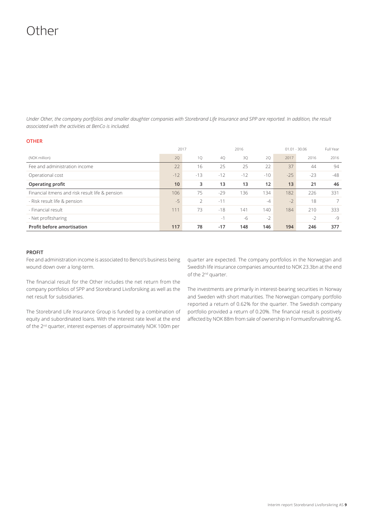# Other

*Under Other, the company portfolios and smaller daughter companies with Storebrand Life Insurance and SPP are reported. In addition, the result associated with the activities at BenCo is included.*

## **OTHER**

|                                                 | 2017            |               |       | 2016  |       |       | $01.01 - 30.06$ |                |  |
|-------------------------------------------------|-----------------|---------------|-------|-------|-------|-------|-----------------|----------------|--|
| (NOK million)                                   | 2Q              | 1Q            | 40    | 3Q    | 20    | 2017  | 2016            | 2016           |  |
| Fee and administration income                   | 22              | 16            | 25    | 25    | 22    | 37    | 44              | 94             |  |
| Operational cost                                | $-12$           | $-13$         | $-12$ | $-12$ | $-10$ | $-25$ | $-23$           | $-48$          |  |
| Operating profit                                | 10 <sup>°</sup> | 3             | 13    | 13    | 12    | 13    | 21              | 46             |  |
| Financial itmens and risk result life & pension | 106             | 75            | $-29$ | 136   | 134   | 182   | 226             | 331            |  |
| - Risk result life & pension                    | $-5$            | $\mathcal{P}$ | $-11$ |       | $-4$  | $-2$  | 18              | $\overline{7}$ |  |
| - Financial result                              | 111             | 73            | $-18$ | 141   | 140   | 184   | 210             | 333            |  |
| - Net profitsharing                             |                 |               | $-1$  | $-6$  | $-2$  |       | $-2$            | $-9$           |  |
| <b>Profit before amortisation</b>               | 117             | 78            | $-17$ | 148   | 146   | 194   | 246             | 377            |  |

### **PROFIT**

Fee and administration income is associated to Benco's business being wound down over a long-term.

The financial result for the Other includes the net return from the company portfolios of SPP and Storebrand Livsforsiking as well as the net result for subsidiaries.

The Storebrand Life Insurance Group is funded by a combination of equity and subordinated loans. With the interest rate level at the end of the 2nd quarter, interest expenses of approximately NOK 100m per

quarter are expected. The company portfolios in the Norwegian and Swedish life insurance companies amounted to NOK 23.3bn at the end of the 2nd quarter.

The investments are primarily in interest-bearing securities in Norway and Sweden with short maturities. The Norwegian company portfolio reported a return of 0.62% for the quarter. The Swedish company portfolio provided a return of 0.20%. The financial result is positively affected by NOK 88m from sale of ownership in Formuesforvaltning AS.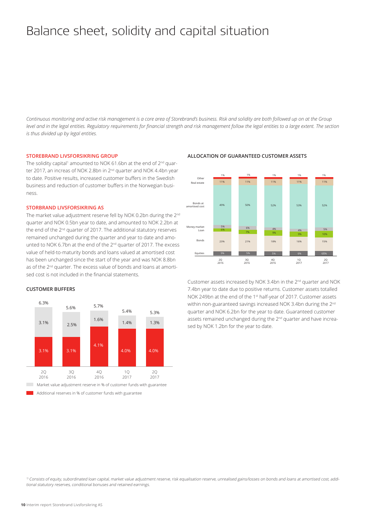# Balance sheet, solidity and capital situation

*Continuous monitoring and active risk management is a core area of Storebrand's business. Risk and solidity are both followed up on at the Group level and in the legal entities. Regulatory requirements for financial strength and risk management follow the legal entities to a large extent. The section is thus divided up by legal entities.* 

#### **STOREBRAND LIVSFORSIKRING GROUP**

The solidity capital $^{\rm 1}$  amounted to NOK 61.6bn at the end of 2 $^{\rm nd}$  quarter 2017, an increas of NOK 2.8bn in 2<sup>nd</sup> quarter and NOK 4.4bn year to date. Positive results, increased customer buffers in the Swedish business and reduction of customer buffers in the Norwegian business.

## **STORBRAND LIVSFORSIKRING AS**

The market value adjustment reserve fell by NOK 0.2bn during the 2<sup>nd</sup> quarter and NOK 0.5bn year to date, and amounted to NOK 2.2bn at the end of the 2<sup>nd</sup> quarter of 2017. The additional statutory reserves remained unchanged during the quarter and year to date and amounted to NOK 6.7bn at the end of the 2<sup>nd</sup> quarter of 2017. The excess value of held-to-maturity bonds and loans valued at amortised cost has been unchanged since the start of the year and was NOK 8.8bn as of the 2<sup>nd</sup> quarter. The excess value of bonds and loans at amortised cost is not included in the financial statements.



#### **ALLOCATION OF GUARANTEED CUSTOMER ASSETS**



Customer assets increased by NOK 3.4bn in the 2nd quarter and NOK 7.4bn year to date due to positive returns. Customer assets totalled NOK 249bn at the end of the 1<sup>st</sup> half-year of 2017. Customer assets within non-guaranteed savings increased NOK 3.4bn during the 2<sup>nd</sup> quarter and NOK 6.2bn for the year to date. Guaranteed customer assets remained unchanged during the 2<sup>nd</sup> quarter and have increased by NOK 1.2bn for the year to date.

<sup>1)</sup> Consists of equity, subordinated loan capital, market value adjustment reserve, risk equalisation reserve, unrealised gains/losses on bonds and loans at amortised cost, additional statutory reserves, conditional bonuses and retained earnings.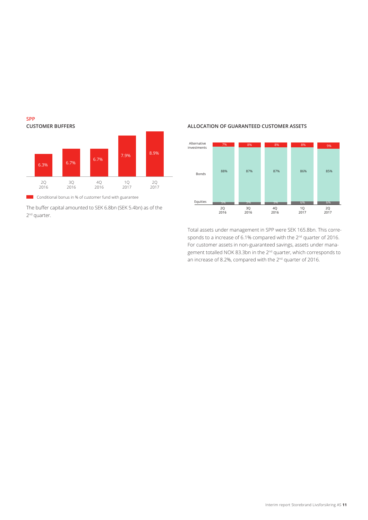

**SPP**

The buffer capital amounted to SEK 6.8bn (SEK 5.4bn) as of the 2<sup>nd</sup> quarter.

## **ALLOCATION OF GUARANTEED CUSTOMER ASSETS**



Total assets under management in SPP were SEK 165.8bn. This corresponds to a increase of 6.1% compared with the 2<sup>nd</sup> quarter of 2016. For customer assets in non-guaranteed savings, assets under management totalled NOK 83.3bn in the 2nd quarter, which corresponds to an increase of 8.2%, compared with the 2<sup>nd</sup> quarter of 2016.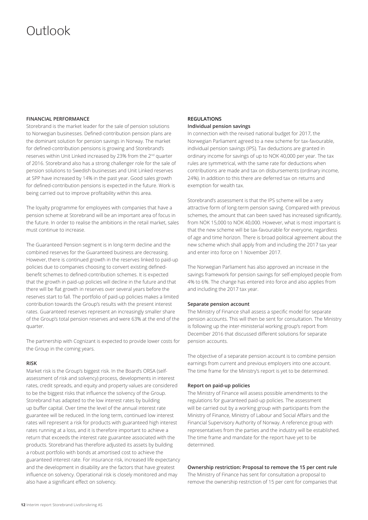# Outlook

### **FINANCIAL PERFORMANCE**

Storebrand is the market leader for the sale of pension solutions to Norwegian businesses. Defined-contribution pension plans are the dominant solution for pension savings in Norway. The market for defined-contribution pensions is growing and Storebrand's reserves within Unit Linked increased by 23% from the 2nd quarter of 2016. Storebrand also has a strong challenger role for the sale of pension solutions to Swedish businesses and Unit Linked reserves at SPP have increased by 14% in the past year. Good sales growth for defined-contribution pensions is expected in the future. Work is being carried out to improve profitability within this area.

The loyalty programme for employees with companies that have a pension scheme at Storebrand will be an important area of focus in the future. In order to realise the ambitions in the retail market, sales must continue to increase.

The Guaranteed Pension segment is in long-term decline and the combined reserves for the Guaranteed business are decreasing. However, there is continued growth in the reserves linked to paid-up policies due to companies choosing to convert existing definedbenefit schemes to defined-contribution schemes. It is expected that the growth in paid-up policies will decline in the future and that there will be flat growth in reserves over several years before the reserves start to fall. The portfolio of paid-up policies makes a limited contribution towards the Group's results with the present interest rates. Guaranteed reserves represent an increasingly smaller share of the Group's total pension reserves and were 63% at the end of the quarter.

The partnership with Cognizant is expected to provide lower costs for the Group in the coming years.

### **RISK**

Market risk is the Group's biggest risk. In the Board's ORSA (selfassessment of risk and solvency) process, developments in interest rates, credit spreads, and equity and property values are considered to be the biggest risks that influence the solvency of the Group. Storebrand has adapted to the low interest rates by building up buffer capital. Over time the level of the annual interest rate guarantee will be reduced. In the long term, continued low interest rates will represent a risk for products with guaranteed high interest rates running at a loss, and it is therefore important to achieve a return that exceeds the interest rate guarantee associated with the products. Storebrand has therefore adjusted its assets by building a robust portfolio with bonds at amortised cost to achieve the guaranteed interest rate. For insurance risk, increased life expectancy and the development in disability are the factors that have greatest influence on solvency. Operational risk is closely monitored and may also have a significant effect on solvency.

## **REGULATIONS**

## **Individual pension savings**

In connection with the revised national budget for 2017, the Norwegian Parliament agreed to a new scheme for tax-favourable, individual pension savings (IPS). Tax deductions are granted in ordinary income for savings of up to NOK 40,000 per year. The tax rules are symmetrical, with the same rate for deductions when contributions are made and tax on disbursements (ordinary income, 24%). In addition to this there are deferred tax on returns and exemption for wealth tax.

Storebrand's assessment is that the IPS scheme will be a very attractive form of long-term pension saving. Compared with previous schemes, the amount that can been saved has increased significantly, from NOK 15,000 to NOK 40,000. However, what is most important is that the new scheme will be tax-favourable for everyone, regardless of age and time horizon. There is broad political agreement about the new scheme which shall apply from and including the 2017 tax year and enter into force on 1 November 2017.

The Norwegian Parliament has also approved an increase in the savings framework for pension savings for self-employed people from 4% to 6%. The change has entered into force and also applies from and including the 2017 tax year.

#### **Separate pension account**

The Ministry of Finance shall assess a specific model for separate pension accounts. This will then be sent for consultation. The Ministry is following up the inter-ministerial working group's report from December 2016 that discussed different solutions for separate pension accounts.

The objective of a separate pension account is to combine pension earnings from current and previous employers into one account. The time frame for the Ministry's report is yet to be determined.

#### **Report on paid-up policies**

The Ministry of Finance will assess possible amendments to the regulations for guaranteed paid-up policies. The assessment will be carried out by a working group with participants from the Ministry of Finance, Ministry of Labour and Social Affairs and the Financial Supervisory Authority of Norway. A reference group with representatives from the parties and the industry will be established. The time frame and mandate for the report have yet to be determined.

#### **Ownership restriction: Proposal to remove the 15 per cent rule**

The Ministry of Finance has sent for consultation a proposal to remove the ownership restriction of 15 per cent for companies that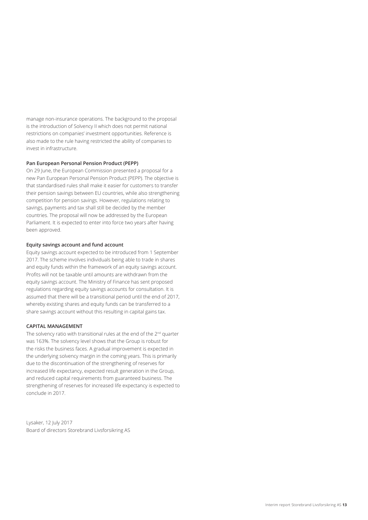manage non-insurance operations. The background to the proposal is the introduction of Solvency II which does not permit national restrictions on companies' investment opportunities. Reference is also made to the rule having restricted the ability of companies to invest in infrastructure.

### **Pan European Personal Pension Product (PEPP)**

On 29 June, the European Commission presented a proposal for a new Pan European Personal Pension Product (PEPP). The objective is that standardised rules shall make it easier for customers to transfer their pension savings between EU countries, while also strengthening competition for pension savings. However, regulations relating to savings, payments and tax shall still be decided by the member countries. The proposal will now be addressed by the European Parliament. It is expected to enter into force two years after having been approved.

#### **Equity savings account and fund account**

Equity savings account expected to be introduced from 1 September 2017. The scheme involves individuals being able to trade in shares and equity funds within the framework of an equity savings account. Profits will not be taxable until amounts are withdrawn from the equity savings account. The Ministry of Finance has sent proposed regulations regarding equity savings accounts for consultation. It is assumed that there will be a transitional period until the end of 2017, whereby existing shares and equity funds can be transferred to a share savings account without this resulting in capital gains tax.

#### **CAPITAL MANAGEMENT**

The solvency ratio with transitional rules at the end of the 2<sup>nd</sup> quarter was 163%. The solvency level shows that the Group is robust for the risks the business faces. A gradual improvement is expected in the underlying solvency margin in the coming years. This is primarily due to the discontinuation of the strengthening of reserves for increased life expectancy, expected result generation in the Group, and reduced capital requirements from guaranteed business. The strengthening of reserves for increased life expectancy is expected to conclude in 2017.

Lysaker, 12 July 2017 Board of directors Storebrand Livsforsikring AS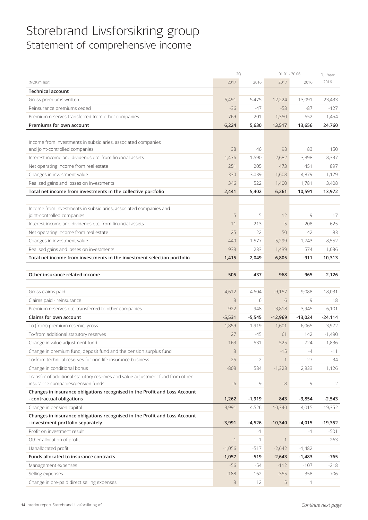## Storebrand Livsforsikring group Statement of comprehensive income

|                                                                                | 2Q       |          | $01.01 - 30.06$ |           | Full Year |
|--------------------------------------------------------------------------------|----------|----------|-----------------|-----------|-----------|
| (NOK million)                                                                  | 2017     | 2016     | 2017            | 2016      | 2016      |
| <b>Technical account</b>                                                       |          |          |                 |           |           |
| Gross premiums written                                                         | 5,491    | 5,475    | 12,224          | 13,091    | 23,433    |
| Reinsurance premiums ceded                                                     | $-36$    | -47      | $-58$           | $-87$     | $-127$    |
| Premium reserves transferred from other companies                              | 769      | 201      | 1,350           | 652       | 1,454     |
| Premiums for own account                                                       | 6,224    | 5,630    | 13,517          | 13,656    | 24,760    |
|                                                                                |          |          |                 |           |           |
| Income from investments in subsidiaries, associated companies                  |          |          |                 |           |           |
| and joint-controlled companies                                                 | 38       | 46       | 98              | 83        | 150       |
| Interest income and dividends etc. from financial assets                       | 1,476    | 1,590    | 2,682           | 3,398     | 8,337     |
| Net operating income from real estate                                          | 251      | 205      | 473             | 451       | 897       |
| Changes in investment value                                                    | 330      | 3,039    | 1,608           | 4,879     | 1,179     |
| Realised gains and losses on investments                                       | 346      | 522      | 1,400           | 1,781     | 3,408     |
| Total net income from investments in the collective portfolio                  | 2,441    | 5,402    | 6,261           | 10,591    | 13,972    |
|                                                                                |          |          |                 |           |           |
| Income from investments in subsidiaries, associated companies and              |          |          |                 |           |           |
| joint-controlled companies                                                     | 5        | 5        | 12              | 9         | 17        |
| Interest income and dividends etc. from financial assets                       | 11       | 213      | 5               | 208       | 625       |
| Net operating income from real estate                                          | 25       | 22       | 50              | 42        | 83        |
| Changes in investment value                                                    | 440      | 1,577    | 5,299           | $-1,743$  | 8,552     |
| Realised gains and losses on investments                                       | 933      | 233      | 1,439           | 574       | 1,036     |
| Total net income from investments in the investment selection portfolio        | 1,415    | 2,049    | 6,805           | $-911$    | 10,313    |
|                                                                                |          |          |                 |           |           |
| Other insurance related income                                                 | 505      | 437      | 968             | 965       | 2,126     |
|                                                                                |          |          |                 |           |           |
| Gross claims paid                                                              | $-4,612$ | $-4,604$ | $-9,157$        | $-9,088$  | $-18,031$ |
| Claims paid - reinsurance                                                      | 3        | 6        | 6               | 9         | 18        |
| Premium reserves etc. transferred to other companies                           | $-922$   | $-948$   | $-3,818$        | $-3,945$  | $-6,101$  |
| Claims for own account                                                         | $-5,531$ | $-5,545$ | $-12,969$       | $-13,024$ | $-24,114$ |
| To (from) premium reserve, gross                                               | 1,859    | $-1,919$ | 1,601           | $-6,065$  | $-3,972$  |
| To/from additional statutory reserves                                          | 27       | -45      | 61              | 142       | $-1,490$  |
| Change in value adjustment fund                                                | 163      | $-531$   | 525             | $-724$    | 1,836     |
| Change in premium fund, deposit fund and the pension surplus fund              | 3        |          | $-15$           | $-4$      | $-11$     |
| To/from technical reserves for non-life insurance business                     | 25       | 2        | $\mathbf{1}$    | $-27$     | $-34$     |
| Change in conditional bonus                                                    | $-808$   | 584      | $-1,323$        | 2,833     | 1,126     |
| Transfer of additional statutory reserves and value adjustment fund from other |          |          |                 |           |           |
| insurance companies/pension funds                                              | $-6$     | -9       | $-8$            | -9        | 2         |
| Changes in insurance obligations recognised in the Profit and Loss Account     |          |          |                 |           |           |
| - contractual obligations                                                      | 1,262    | $-1,919$ | 843             | $-3,854$  | $-2,543$  |
| Change in pension capital                                                      | $-3,991$ | $-4,526$ | $-10,340$       | $-4,015$  | $-19,352$ |
| Changes in insurance obligations recognised in the Profit and Loss Account     |          |          |                 |           |           |
| - investment portfolio separately                                              | $-3,991$ | $-4,526$ | $-10,340$       | $-4,015$  | $-19,352$ |
| Profit on investment result                                                    |          | $-1$     |                 | $-1$      | $-501$    |
| Other allocation of profit                                                     | $-1$     | $-1$     | $-1$            |           | $-263$    |
| Uanallocated profit                                                            | $-1,056$ | $-517$   | $-2,642$        | $-1,482$  |           |
| Funds allocated to insurance contracts                                         | $-1,057$ | $-519$   | $-2,643$        | $-1,483$  | -765      |
| Management expenses                                                            | $-56$    | $-54$    | $-112$          | $-107$    | $-218$    |
| Selling expenses                                                               | $-188$   | $-162$   | $-355$          | $-358$    | $-706$    |
| Change in pre-paid direct selling expenses                                     | 3        | 12       | 5               | 1         |           |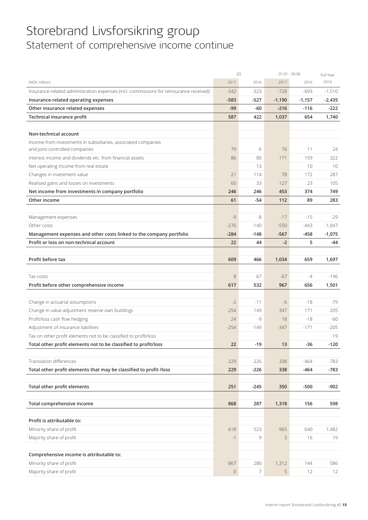## Storebrand Livsforsikring group Statement of comprehensive income continue

|                                                                                        |             | 2Q             | $01.01 - 30.06$ |          | Full Year |
|----------------------------------------------------------------------------------------|-------------|----------------|-----------------|----------|-----------|
| (NOK million)                                                                          | 2017        | 2016           | 2017            | 2016     | 2016      |
| Insurance-related administration expenses (incl. commissions for reinsurance received) | $-342$      | $-323$         | $-728$          | $-693$   | $-1,510$  |
| Insurance-related operating expenses                                                   | $-583$      | $-527$         | $-1,190$        | $-1,157$ | $-2,435$  |
| Other insurance related expenses                                                       | $-99$       | -60            | $-216$          | $-116$   | -222      |
| Technical insurance profit                                                             | 587         | 422            | 1,037           | 654      | 1,740     |
|                                                                                        |             |                |                 |          |           |
| Non-technical account                                                                  |             |                |                 |          |           |
| Income from investments in subsidiaries, associated companies                          |             |                |                 |          |           |
| and joint-controlled companies                                                         | 79          | 6              | 76              | 11       | 24        |
| Interest income and dividends etc. from financial assets                               | 86          | 80             | 171             | 159      | 322       |
| Net operating income from real estate                                                  |             | 13             |                 | 10       | 10        |
| Changes in investment value                                                            | 21          | 114            | 78              | 172      | 287       |
| Realised gains and losses on investments                                               | 60          | 33             | 127             | 23       | 105       |
| Net income from investments in company portfolio                                       | 246         | 246            | 453             | 374      | 749       |
| Other income                                                                           | 61          | $-54$          | 112             | 89       | 283       |
|                                                                                        |             |                |                 |          |           |
| Management expenses                                                                    | $-9$        | -8             | $-17$           | $-15$    | $-29$     |
| Other costs                                                                            | $-276$      | $-140$         | $-550$          | -443     | $-1,047$  |
| Management expenses and other costs linked to the company portfolio                    | $-284$      | $-148$         | $-567$          | -458     | $-1,075$  |
| Profit or loss on non-technical account                                                | 22          | 44             | $-2$            | 5        | -44       |
|                                                                                        |             |                |                 |          |           |
| Profit before tax                                                                      | 609         | 466            | 1,034           | 659      | 1,697     |
|                                                                                        |             |                |                 |          |           |
| Tax costs                                                                              | 8           | 67             | $-67$           | -4       | $-196$    |
| Profit before other comprehensive income                                               | 617         | 532            | 967             | 656      | 1,501     |
|                                                                                        |             |                |                 |          |           |
| Change in actuarial assumptions                                                        | $-2$        | $-11$          | $-6$            | $-18$    | $-79$     |
| Change in value adjustment reserve own buildings                                       | 254         | 149            | 347             | 171      | 205       |
| Profit/loss cash flow hedging                                                          | 24          | -9             | 18              | $-18$    | -60       |
| Adjustment of insurance liabilities                                                    | $-254$      | $-149$         | $-347$          | $-171$   | $-205$    |
| Tax on other profit elements not to be classified to profit/loss                       |             |                |                 |          | 19        |
| Total other profit elements not to be classified to profit/loss                        | 22          | -19            | 13              | $-36$    | $-120$    |
|                                                                                        |             |                |                 |          |           |
| Translation differences                                                                | 229         | $-226$         | 338             | $-464$   | $-783$    |
| Total other profit elements that may be classified to profit /loss                     | 229         | $-226$         | 338             | $-464$   | $-783$    |
|                                                                                        |             |                |                 |          |           |
| Total other profit elements                                                            | 251         | $-245$         | 350             | $-500$   | $-902$    |
|                                                                                        |             |                |                 |          |           |
| Total comprehensive income                                                             | 868         | 287            | 1,318           | 156      | 598       |
|                                                                                        |             |                |                 |          |           |
| Profit is attributable to:                                                             |             |                |                 |          |           |
| Minority share of profit                                                               | 618         | 523            | 965             | 640      | 1,482     |
| Majority share of profit                                                               | $-1$        | 9              | 3               | 16       | 19        |
|                                                                                        |             |                |                 |          |           |
| Comprehensive income is attributable to:                                               |             |                |                 |          |           |
| Minority share of profit                                                               | 867         | 280            | 1,312           | 144      | 586       |
| Majority share of profit                                                               | $\mathbf 0$ | $\overline{7}$ | 5               | 12       | 12        |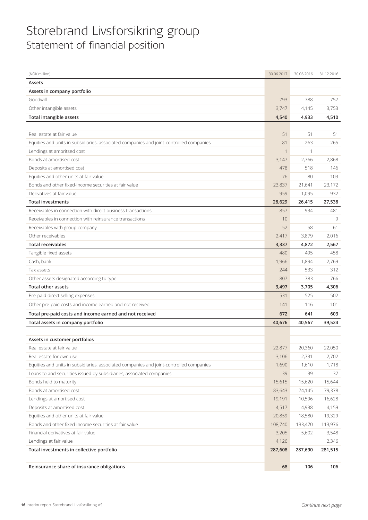## Storebrand Livsforsikring group Statement of financial position

| (NOK million)                                                                           | 30.06.2017 | 30.06.2016  | 31.12.2016 |
|-----------------------------------------------------------------------------------------|------------|-------------|------------|
| Assets                                                                                  |            |             |            |
| Assets in company portfolio                                                             |            |             |            |
| Goodwill                                                                                | 793        | 788         | 757        |
| Other intangible assets                                                                 | 3,747      | 4,145       | 3,753      |
| <b>Total intangible assets</b>                                                          | 4,540      | 4,933       | 4,510      |
|                                                                                         |            |             |            |
| Real estate at fair value                                                               | 51         | 51          | 51         |
| Equities and units in subsidiaries, associated companies and joint-controlled companies | 81         | 263         | 265        |
| Lendings at amoritsed cost                                                              |            | $\mathbf 1$ | 1          |
| Bonds at amortised cost                                                                 | 3,147      | 2,766       | 2,868      |
| Deposits at amortised cost                                                              | 478        | 518         | 146        |
| Equities and other units at fair value                                                  | 76         | 80          | 103        |
| Bonds and other fixed-income securities at fair value                                   | 23,837     | 21,641      | 23,172     |
| Derivatives at fair value                                                               | 959        | 1,095       | 932        |
| <b>Total investments</b>                                                                | 28,629     | 26,415      | 27,538     |
| Receivables in connection with direct business transactions                             | 857        | 934         | 481        |
| Receivables in connection with reinsurance transactions                                 | 10         |             | 9          |
| Receivables with group company                                                          | 52         | 58          | 61         |
| Other receivables                                                                       | 2,417      | 3,879       | 2,016      |
| <b>Total receivables</b>                                                                | 3,337      | 4,872       | 2,567      |
| Tangible fixed assets                                                                   | 480        | 495         | 458        |
| Cash, bank                                                                              | 1,966      | 1,894       | 2,769      |
| Tax assets                                                                              | 244        | 533         | 312        |
| Other assets designated according to type                                               | 807        | 783         | 766        |
| <b>Total other assets</b>                                                               | 3,497      | 3,705       | 4,306      |
| Pre-paid direct selling expenses                                                        | 531        | 525         | 502        |
| Other pre-paid costs and income earned and not received                                 | 141        | 116         | 101        |
| Total pre-paid costs and income earned and not received                                 | 672        | 641         | 603        |
| Total assets in company portfolio                                                       | 40,676     | 40,567      | 39,524     |
|                                                                                         |            |             |            |
| Assets in customer portfolios                                                           |            |             |            |
| Real estate at fair value                                                               | 22,877     | 20,360      | 22,050     |
| Real estate for own use                                                                 | 3,106      | 2,731       | 2,702      |
| Equities and units in subsidiaries, associated companies and joint-controlled companies | 1,690      | 1,610       | 1,718      |
| Loans to and securities issued by subsidiaries, associated companies                    | 39         | 39          | 37         |
| Bonds held to maturity                                                                  | 15,615     | 15,620      | 15,644     |
| Bonds at amortised cost                                                                 | 83,643     | 74,145      | 79,378     |
| Lendings at amortised cost                                                              | 19,191     | 10,596      | 16,628     |
| Deposits at amortised cost                                                              | 4,517      | 4,938       | 4,159      |
| Equities and other units at fair value                                                  | 20,859     | 18,580      | 19,329     |
| Bonds and other fixed-income securities at fair value                                   | 108,740    | 133,470     | 113,976    |
| Financial derivatives at fair value                                                     | 3,205      | 5,602       | 3,548      |
| Lendings at fair value                                                                  | 4,126      |             | 2,346      |
| Total investments in collective portfolio                                               | 287,608    | 287,690     | 281,515    |
|                                                                                         |            |             |            |
| Reinsurance share of insurance obligations                                              | 68         | 106         | 106        |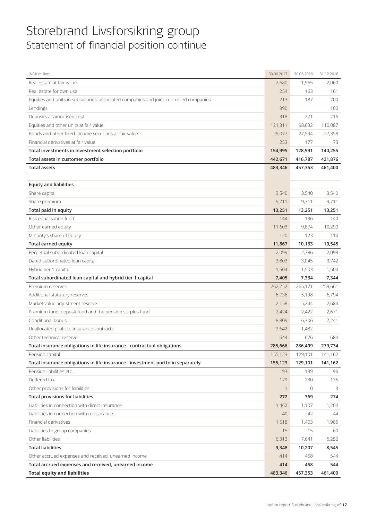## Storebrand Livsforsikring group Statement of financial position continue

| (NOK million)                                                                           | 30.06.2017  | 30.06.2016   | 31.12.2016 |
|-----------------------------------------------------------------------------------------|-------------|--------------|------------|
| Real estate at fair value                                                               | 2,680       | 1,965        | 2,060      |
| Real estate for own use                                                                 | 254         | 163          | 161        |
| Equities and units in subsidiaries, associated companies and joint-controlled companies | 213         | 187          | 200        |
| Lendings                                                                                | 890         |              | 100        |
| Deposits at amortised cost                                                              | 318         | 271          | 216        |
| Equities and other units at fair value                                                  | 121,311     | 98,632       | 110,087    |
| Bonds and other fixed-income securities at fair value                                   | 29,077      | 27,594       | 27,358     |
| Financial derivatives at fair value                                                     | 253         | 177          | 73         |
| Total investments in investment selection portfolio                                     | 154,995     | 128,991      | 140,255    |
| Total assets in customer portfolio                                                      | 442,671     | 416,787      | 421,876    |
| <b>Total assets</b>                                                                     | 483,346     | 457,353      | 461,400    |
|                                                                                         |             |              |            |
| <b>Equity and liabilities</b>                                                           |             |              |            |
| Share capital                                                                           | 3,540       | 3,540        | 3,540      |
| Share premium                                                                           | 9,711       | 9,711        | 9,711      |
| Total paid in equity                                                                    | 13,251      | 13,251       | 13,251     |
| Risk equalisation fund                                                                  | 144         | 136          | 140        |
| Other earned equity                                                                     | 11,603      | 9,874        | 10,290     |
| Minority's share of equity                                                              | 120         | 123          | 114        |
| <b>Total earned equity</b>                                                              | 11,867      | 10,133       | 10,545     |
| Perpetual subordinated loan capital                                                     | 2,099       | 2,786        | 2,098      |
| Dated subordinated loan capital                                                         | 3,803       | 3,045        | 3,742      |
| Hybrid tier 1 capital                                                                   | 1,504       | 1,503        | 1,504      |
| Total subordinated loan capital and hybrid tier 1 capital                               | 7,405       | 7,334        | 7,344      |
| Premium reserves                                                                        | 262,252     | 265,171      | 259,661    |
| Additional statutory reserves                                                           | 6,736       | 5,198        | 6,794      |
| Market value adjustment reserve                                                         | 2,158       | 5,244        | 2,684      |
| Premium fund, deposit fund and the pension surplus fund                                 | 2,424       | 2,422        | 2,671      |
| Conditional bonus                                                                       | 8,809       | 6,306        | 7,241      |
| Unallocated profit to insurance contracts                                               | 2,642       | 1,482        |            |
| Other technical reserve                                                                 | 644         | 676          | 684        |
| Total insurance obligations in life insurance - contractual obligations                 | 285,666     | 286,499      | 279,734    |
| Pension capital                                                                         | 155,123     | 129,101      | 141,162    |
| Total insurance obligations in life insurance - investment portfolio separately         | 155,123     | 129,101      | 141,162    |
| Pension liabilities etc.                                                                | 93          | 139          | 96         |
| Deffered tax                                                                            | 179         | 230          | 175        |
| Other provisions for liabilities                                                        | $\mathbf 1$ | $\mathbf{0}$ | 3          |
| <b>Total provisions for liabilities</b>                                                 | 272         | 369          | 274        |
| Liabilities in connection with direct insurance                                         | 1,462       | 1,107        | 1,204      |
| Liabilities in connection with reinsurance                                              | 40          | 42           | 44         |
| Financial derivatives                                                                   | 1,518       | 1,403        | 1,985      |
| Liabilities to group companies                                                          | 15          | 15           | 60         |
| Other liabilities                                                                       | 6,313       | 7,641        | 5,252      |
| <b>Total liabilities</b>                                                                | 9,348       | 10,207       | 8,545      |
| Other accrued expenses and received, unearned income                                    | 414         | 458          | 544        |
| Total accrued expenses and received, unearned income                                    | 414         | 458          | 544        |
| <b>Total equity and liabilities</b>                                                     | 483,346     | 457,353      | 461,400    |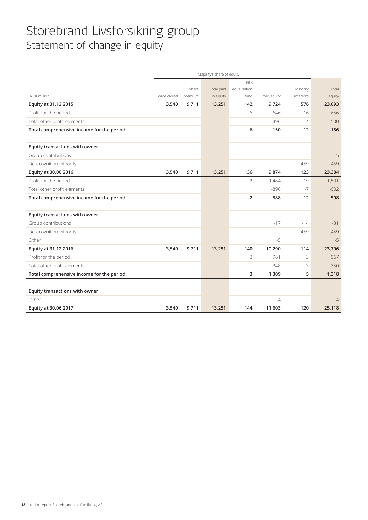## Storebrand Livsforsikring group Statement of change in equity

|                                           |               |         | Majority's share of equity |              |                |           |                |
|-------------------------------------------|---------------|---------|----------------------------|--------------|----------------|-----------|----------------|
|                                           |               |         |                            | <b>Risk</b>  |                |           |                |
|                                           |               | Share   | Total paid                 | equalisation |                | Minority  | Total          |
| (NOK million)                             | Share capital | premium | in equity                  | fund         | Other equity   | interests | equity         |
| Equity at 31.12.2015                      | 3,540         | 9,711   | 13,251                     | 142          | 9,724          | 576       | 23,693         |
| Profit for the period                     |               |         |                            | $-6$         | 646            | 16        | 656            |
| Total other profit elements               |               |         |                            |              | $-496$         | $-4$      | $-500$         |
| Total comprehensive income for the period |               |         |                            | $-6$         | 150            | 12        | 156            |
|                                           |               |         |                            |              |                |           |                |
| Equity transactions with owner:           |               |         |                            |              |                |           |                |
| Group contributions                       |               |         |                            |              |                | $-5$      | $-5$           |
| Derecognition minority                    |               |         |                            |              |                | $-459$    | $-459$         |
| Equity at 30.06.2016                      | 3,540         | 9,711   | 13,251                     | 136          | 9,874          | 123       | 23,384         |
| Profit for the period                     |               |         |                            | $-2$         | 1,484          | 19        | 1,501          |
| Total other profit elements               |               |         |                            |              | $-896$         | $-7$      | $-902$         |
| Total comprehensive income for the period |               |         |                            | $-2$         | 588            | 12        | 598            |
|                                           |               |         |                            |              |                |           |                |
| Equity transactions with owner:           |               |         |                            |              |                |           |                |
| Group contributions                       |               |         |                            |              | $-17$          | $-14$     | $-31$          |
| Derecognition minority                    |               |         |                            |              |                | $-459$    | $-459$         |
| Other                                     |               |         |                            |              | $-5$           |           | $-5$           |
| Equity at 31.12.2016                      | 3,540         | 9,711   | 13,251                     | 140          | 10,290         | 114       | 23,796         |
| Profit for the period                     |               |         |                            | 3            | 961            | 3         | 967            |
| Total other profit elements               |               |         |                            |              | 348            | 3         | 350            |
| Total comprehensive income for the period |               |         |                            | 3            | 1,309          | 5         | 1,318          |
|                                           |               |         |                            |              |                |           |                |
| Equity transactions with owner:           |               |         |                            |              |                |           |                |
| Other                                     |               |         |                            |              | $\overline{4}$ |           | $\overline{4}$ |
| Equity at 30.06.2017                      | 3,540         | 9,711   | 13,251                     | 144          | 11,603         | 120       | 25,118         |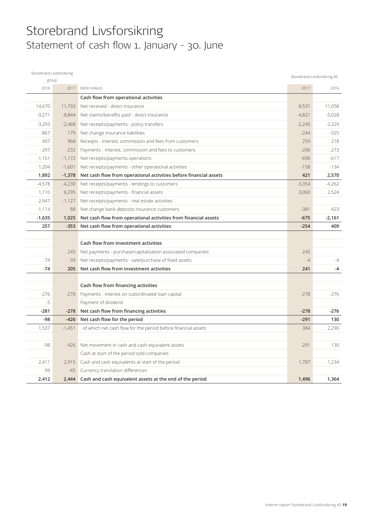## Storebrand Livsforsikring Statement of cash flow 1. January - 30. June

| Storebrand Livsforsikring |          |                                                                   |          | Storebrand Livsforsikring AS |
|---------------------------|----------|-------------------------------------------------------------------|----------|------------------------------|
| group                     |          |                                                                   |          |                              |
| 2016                      | 2017     | (NOK million)                                                     | 2017     | 2016                         |
|                           |          | Cash flow from operational activities                             |          |                              |
| 14,670                    | 11,793   | Net received - direct insurance                                   | 8,531    | 11,058                       |
| $-9,271$                  | $-8,844$ | Net claims/benefits paid - direct insurance                       | $-4,821$ | $-5,028$                     |
| $-3,293$                  | $-2,468$ | Net receipts/payments - policy transfers                          | $-2,245$ | $-2,329$                     |
| $-867$                    | 179      | Net change insurance liabilities                                  | $-244$   | $-325$                       |
| 907                       | 968      | Receipts - interest, commission and fees from customers           | 259      | 218                          |
| $-297$                    | $-232$   | Payments - interest, commission and fees to customers             | $-206$   | $-273$                       |
| $-1,161$                  | $-1,172$ | Net receipts/payments operations                                  | $-696$   | $-617$                       |
| 1,204                     | $-1,601$ | Net receipts/payments - other operational activities              | $-158$   | $-134$                       |
| 1,892                     | $-1,378$ | Net cash flow from operational activities before financial assets | 421      | 2,570                        |
| $-4,578$                  | $-4,230$ | Net receipts/payments - lendings to customers                     | $-3,354$ | $-4,262$                     |
| 1,110                     | 6,295    | Net receipts/payments - financial assets                          | 3,060    | 2,524                        |
| 2,947                     | $-1,127$ | Net receipts/payments - real estate activities                    |          |                              |
| $-1,114$                  | 88       | Net change bank deposits insurance customers                      | $-381$   | $-423$                       |
| $-1,635$                  | 1,025    | Net cash flow from operational activities from financial assets   | $-675$   | $-2,161$                     |
| 257                       | $-353$   | Net cash flow from operational activities                         | $-254$   | 409                          |
|                           |          |                                                                   |          |                              |
|                           |          | Cash flow from investment activities                              |          |                              |
|                           | 245      | Net payments - purchase/capitalisation associated companies       | 245      |                              |
| $-74$                     | $-39$    | Net receipts/payments - sale/purchase of fixed assets             | $-4$     | $-4$                         |
| $-74$                     | 205      | Net cash flow from investment activities                          | 241      | $-4$                         |
|                           |          |                                                                   |          |                              |
|                           |          | Cash flow from financing activities                               |          |                              |
| $-276$                    | $-278$   | Payments - interest on subordinated loan capital                  | $-278$   | $-276$                       |
| $-5$                      |          | Payment of dividend                                               |          |                              |
| $-281$                    | $-278$   | Net cash flow from financing activities                           | $-278$   | $-276$                       |
| $-98$                     | $-426$   | Net cash flow for the period                                      | $-291$   | 130                          |
| 1,537                     | $-1,451$ | of which net cash flow for the period before financial assets     | 384      | 2,290                        |
|                           |          |                                                                   |          |                              |
| -98                       | $-426$   | Net movement in cash and cash equivalent assets                   | $-291$   | 130                          |
|                           |          | Cash at start of the period sold companies                        |          |                              |
| 2,411                     | 2,915    | Cash and cash equivalents at start of the period                  | 1,787    | 1,234                        |
| 99                        | $-45$    | Currency translation differences                                  |          |                              |
| 2.412                     | 2,444    | Cash and cash equivalent assets at the end of the period          | 1,496    | 1,364                        |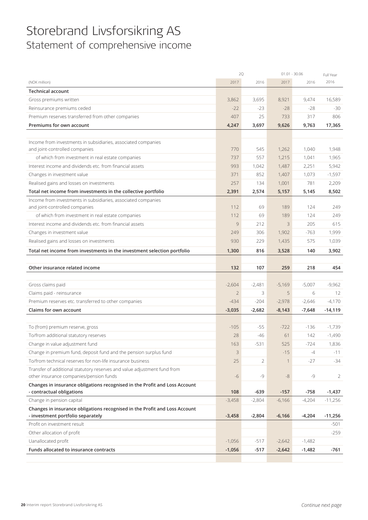## Storebrand Livsforsikring AS Statement of comprehensive income

|                                                                            | 2Q             |          | $01.01 - 30.06$ |          | Full Year |
|----------------------------------------------------------------------------|----------------|----------|-----------------|----------|-----------|
| (NOK million)                                                              | 2017           | 2016     | 2017            | 2016     | 2016      |
| <b>Technical account</b>                                                   |                |          |                 |          |           |
| Gross premiums written                                                     | 3,862          | 3,695    | 8,921           | 9,474    | 16,589    |
| Reinsurance premiums ceded                                                 | $-22$          | $-23$    | $-28$           | $-28$    | $-30$     |
| Premium reserves transferred from other companies                          | 407            | 25       | 733             | 317      | 806       |
| Premiums for own account                                                   | 4,247          | 3,697    | 9,626           | 9,763    | 17,365    |
|                                                                            |                |          |                 |          |           |
| Income from investments in subsidiaries, associated companies              |                |          |                 |          |           |
| and joint-controlled companies                                             | 770            | 545      | 1,262           | 1,040    | 1,948     |
| of which from investment in real estate companies                          | 737            | 557      | 1,215           | 1,041    | 1,965     |
| Interest income and dividends etc. from financial assets                   | 993            | 1,042    | 1,487           | 2,251    | 5,942     |
| Changes in investment value                                                | 371            | 852      | 1,407           | 1,073    | $-1,597$  |
| Realised gains and losses on investments                                   | 257            | 134      | 1,001           | 781      | 2,209     |
| Total net income from investments in the collective portfolio              | 2,391          | 2,574    | 5,157           | 5,145    | 8,502     |
| Income from investments in subsidiaries, associated companies              |                |          |                 |          |           |
| and joint-controlled companies                                             | 112            | 69       | 189             | 124      | 249       |
| of which from investment in real estate companies                          | 112            | 69       | 189             | 124      | 249       |
| Interest income and dividends etc. from financial assets                   | 9              | 212      | 3               | 205      | 615       |
| Changes in investment value                                                | 249            | 306      | 1,902           | $-763$   | 1,999     |
| Realised gains and losses on investments                                   | 930            | 229      | 1,435           | 575      | 1,039     |
| Total net income from investments in the investment selection portfolio    | 1,300          | 816      | 3,528           | 140      | 3,902     |
|                                                                            |                |          |                 |          |           |
| Other insurance related income                                             | 132            | 107      | 259             | 218      | 454       |
|                                                                            |                |          |                 |          |           |
| Gross claims paid                                                          | $-2,604$       | $-2,481$ | $-5,169$        | $-5,007$ | $-9,962$  |
| Claims paid - reinsurance                                                  | $\overline{2}$ | 3        | 5               | 6        | 12        |
| Premium reserves etc. transferred to other companies                       | $-434$         | $-204$   | $-2,978$        | $-2,646$ | $-4,170$  |
| Claims for own account                                                     | $-3,035$       | $-2,682$ | $-8,143$        | $-7,648$ | $-14,119$ |
|                                                                            |                |          |                 |          |           |
| To (from) premium reserve, gross                                           | $-105$         | $-55$    | $-722$          | $-136$   | $-1,739$  |
| To/from additional statutory reserves                                      | 28             | -46      | 61              | 142      | $-1,490$  |
| Change in value adjustment fund                                            | 163            | $-531$   | 525             | $-724$   | 1,836     |
| Change in premium fund, deposit fund and the pension surplus fund          | $\mathsf 3$    |          | $-15$           | $-4$     | $-11$     |
| To/from technical reserves for non-life insurance business                 | 25             | 2        | -1              | $-27$    | $-34$     |
| Transfer of additional statutory reserves and value adjustment fund from   |                |          |                 |          |           |
| other insurance companies/pension funds                                    | $-6$           | -9       | $-8$            | -9       | 2         |
| Changes in insurance obligations recognised in the Profit and Loss Account |                |          |                 |          |           |
| - contractual obligations                                                  | 108            | $-639$   | $-157$          | -758     | $-1,437$  |
| Change in pension capital                                                  | $-3,458$       | $-2,804$ | $-6,166$        | $-4,204$ | $-11,256$ |
| Changes in insurance obligations recognised in the Profit and Loss Account |                |          |                 |          |           |
| - investment portfolio separately                                          | $-3,458$       | $-2,804$ | $-6,166$        | $-4,204$ | $-11,256$ |
| Profit on investment result                                                |                |          |                 |          | -501      |
| Other allocation of profit                                                 |                |          |                 |          | $-259$    |
| Uanallocated profit                                                        | $-1,056$       | $-517$   | $-2,642$        | $-1,482$ |           |
| Funds allocated to insurance contracts                                     | $-1,056$       | $-517$   | $-2,642$        | $-1,482$ | -761      |
|                                                                            |                |          |                 |          |           |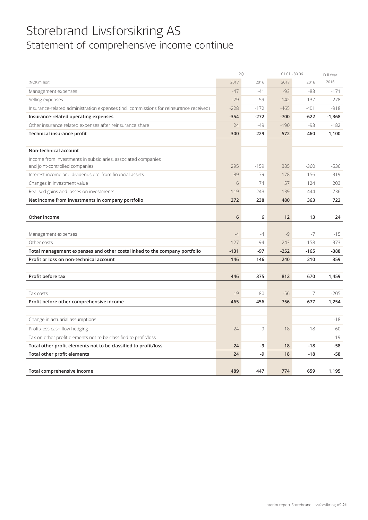## Storebrand Livsforsikring AS Statement of comprehensive income continue

|                                                                                        |        | 2Q     |        | $01.01 - 30.06$ | Full Year |
|----------------------------------------------------------------------------------------|--------|--------|--------|-----------------|-----------|
| (NOK million)                                                                          | 2017   | 2016   | 2017   | 2016            | 2016      |
| Management expenses                                                                    | $-47$  | $-41$  | $-93$  | $-83$           | $-171$    |
| Selling expenses                                                                       | $-79$  | $-59$  | $-142$ | $-137$          | $-278$    |
| Insurance-related administration expenses (incl. commissions for reinsurance received) | $-228$ | $-172$ | $-465$ | $-401$          | $-918$    |
| Insurance-related operating expenses                                                   | $-354$ | $-272$ | $-700$ | $-622$          | $-1,368$  |
| Other insurance related expenses after reinsurance share                               | 24     | $-49$  | $-190$ | -93             | $-182$    |
| Technical insurance profit                                                             | 300    | 229    | 572    | 460             | 1,100     |
|                                                                                        |        |        |        |                 |           |
| Non-technical account                                                                  |        |        |        |                 |           |
| Income from investments in subsidiaries, associated companies                          |        |        |        |                 |           |
| and joint-controlled companies                                                         | 295    | $-159$ | 385    | $-360$          | $-536$    |
| Interest income and dividends etc. from financial assets                               | 89     | 79     | 178    | 156             | 319       |
| Changes in investment value                                                            | 6      | 74     | 57     | 124             | 203       |
| Realised gains and losses on investments                                               | $-119$ | 243    | $-139$ | 444             | 736       |
| Net income from investments in company portfolio                                       | 272    | 238    | 480    | 363             | 722       |
|                                                                                        |        |        |        |                 |           |
| Other income                                                                           | 6      | 6      | 12     | 13              | 24        |
|                                                                                        |        |        |        |                 |           |
| Management expenses                                                                    | $-4$   | $-4$   | $-9$   | $-7$            | $-15$     |
| Other costs                                                                            | $-127$ | $-94$  | $-243$ | $-158$          | $-373$    |
| Total management expenses and other costs linked to the company portfolio              | $-131$ | $-97$  | $-252$ | $-165$          | $-388$    |
| Profit or loss on non-technical account                                                | 146    | 146    | 240    | 210             | 359       |
|                                                                                        |        |        |        |                 |           |
| Profit before tax                                                                      | 446    | 375    | 812    | 670             | 1,459     |
|                                                                                        |        |        |        |                 |           |
| Tax costs                                                                              | 19     | 80     | $-56$  | $\overline{7}$  | $-205$    |
| Profit before other comprehensive income                                               | 465    | 456    | 756    | 677             | 1,254     |
|                                                                                        |        |        |        |                 |           |
| Change in actuarial assumptions                                                        |        |        |        |                 | $-18$     |
| Profit/loss cash flow hedging                                                          | 24     | $-9$   | 18     | $-18$           | -60       |
| Tax on other profit elements not to be classified to profit/loss                       |        |        |        |                 | 19        |
| Total other profit elements not to be classified to profit/loss                        | 24     | -9     | 18     | $-18$           | $-58$     |
| Total other profit elements                                                            | 24     | -9     | 18     | $-18$           | $-58$     |
|                                                                                        |        |        |        |                 |           |
| Total comprehensive income                                                             | 489    | 447    | 774    | 659             | 1,195     |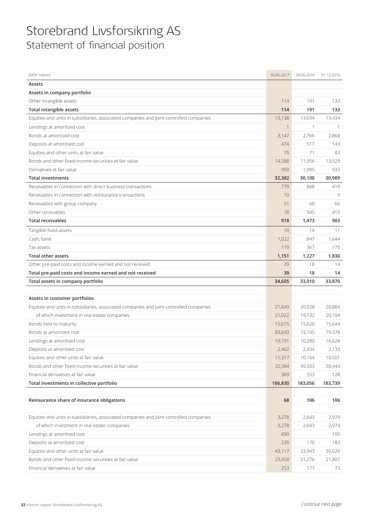## Storebrand Livsforsikring AS Statement of financial position

| (NOK million)                                                                                | 30.06.2017    | 30.06.2016    | 31.12.2016   |
|----------------------------------------------------------------------------------------------|---------------|---------------|--------------|
| Assets                                                                                       |               |               |              |
| Assets in company portfolio                                                                  |               |               |              |
| Other intangible assets                                                                      | 114           | 191           | 133          |
| <b>Total intangible assets</b>                                                               | 114           | 191           | 133          |
| Equities and units in subsidiaries, associated companies and joint-controlled companies      | 13,138        | 13,694        | 13,434       |
| Lendings at amoritsed cost                                                                   |               | 1             |              |
| Bonds at amortised cost                                                                      | 3,147         | 2,766         | 2,868        |
| Deposits at amoritsed cost                                                                   | 474           | 517           | 143          |
| Equities and other units at fair value                                                       | 75            | 71            | 83           |
| Bonds and other fixed-income securities at fair value                                        | 14,588        | 11,956        | 13,529       |
| Derivatives at fair value                                                                    | 959           | 1,095         | 932          |
| <b>Total investments</b>                                                                     | 32,382        | 30,100        | 30,989       |
| Receivables in connection with direct business transactions                                  | 779           | 868           | 419          |
| Receivables in connection with reinsurance transactions                                      | 10            |               | 9            |
| Receivables with group company                                                               | 51            | 60            | 66           |
| Other receivables                                                                            | 78            | 545           | 410          |
| <b>Total receivables</b>                                                                     | 918           | 1,473         | 903          |
| Tangible fixed assets                                                                        | 10            | 14            | 11           |
| Cash, bank                                                                                   | 1,022         | 847           | 1,644        |
| Tax assets                                                                                   | 119           | 367           | 175          |
| <b>Total other assets</b>                                                                    | 1,151         | 1,227         | 1,830        |
| Other pre-paid costs and income earned and not received                                      | 39            | 18            | 14           |
|                                                                                              |               |               |              |
| Total pre-paid costs and income earned and not received                                      | 39            | 18            | 14           |
| Total assets in company portfolio                                                            | 34,605        | 33,010        | 33,870       |
|                                                                                              |               |               |              |
| Assets in customer portfolios                                                                |               |               |              |
| Equities and units in subsidiaries, associated companies and joint-controlled companies      | 21,849        | 20,528        | 20,884       |
| of which investment in real estate companies                                                 | 21,022        | 19,732        | 20,104       |
| Bonds held to maturity                                                                       | 15,615        | 15,620        | 15,644       |
| Bonds at amortised cost                                                                      | 83,643        | 74,145        | 79,378       |
| Lendings at amoritsed cost                                                                   | 19,191        | 10,280        | 16,628       |
| Deposits at amoritsed cost                                                                   | 2,462         | 2,434         | 2,133        |
| Equities and other units at fair value                                                       | 11,317        | 10,164        | 10,501       |
| Bonds and other fixed-income securities at fair value                                        | 32,384        | 49,333        | 38,444       |
| Financial derivatives at fair value                                                          | 369           | 553           | 128          |
| Total investments in collective portfolio                                                    | 186,830       | 183,056       | 183,739      |
|                                                                                              |               |               |              |
| Reinsurance share of insurance obligations                                                   | 68            | 106           | 106          |
|                                                                                              |               |               |              |
| Equities and units in subsidiaries, associated companies and joint-controlled companies      | 3,278         | 2,643         | 2,974        |
| of which investment in real estate companies                                                 | 3,278         | 2,643         | 2,974        |
| Lendings at amoritsed cost                                                                   | 890           |               | 100          |
| Deposits at amoritsed cost                                                                   | 235           | 170           | 183          |
| Equities and other units at fair value                                                       | 43,117        | 33,943        | 39,626       |
| Bonds and other fixed-income securities at fair value<br>Financial derivatives at fair value | 23,458<br>253 | 21,276<br>177 | 21,807<br>73 |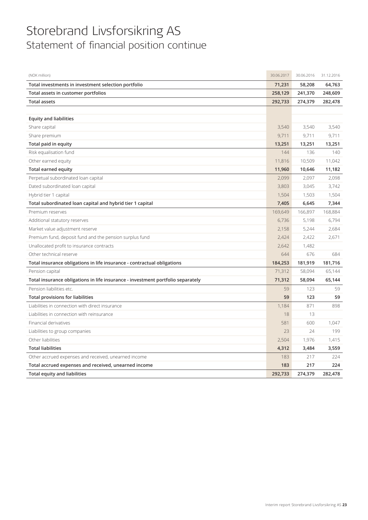## Storebrand Livsforsikring AS Statement of financial position continue

| (NOK million)                                                                   | 30.06.2017 | 30.06.2016 | 31.12.2016 |
|---------------------------------------------------------------------------------|------------|------------|------------|
| Total investments in investment selection portfolio                             | 71,231     | 58,208     | 64,763     |
| Total assets in customer portfolios                                             | 258,129    | 241,370    | 248,609    |
| <b>Total assets</b>                                                             | 292,733    | 274,379    | 282,478    |
|                                                                                 |            |            |            |
| <b>Equity and liabilities</b>                                                   |            |            |            |
| Share capital                                                                   | 3,540      | 3,540      | 3,540      |
| Share premium                                                                   | 9,711      | 9,711      | 9,711      |
| Total paid in equity                                                            | 13,251     | 13,251     | 13,251     |
| Risk equalisation fund                                                          | 144        | 136        | 140        |
| Other earned equity                                                             | 11,816     | 10,509     | 11,042     |
| Total earned equity                                                             | 11,960     | 10,646     | 11,182     |
| Perpetual subordinated loan capital                                             | 2,099      | 2,097      | 2,098      |
| Dated subordinated loan capital                                                 | 3,803      | 3,045      | 3,742      |
| Hybrid tier 1 capital                                                           | 1,504      | 1,503      | 1,504      |
| Total subordinated loan capital and hybrid tier 1 capital                       | 7,405      | 6,645      | 7,344      |
| Premium reserves                                                                | 169,649    | 166,897    | 168,884    |
| Additional statutory reserves                                                   | 6,736      | 5,198      | 6,794      |
| Market value adjustment reserve                                                 | 2,158      | 5,244      | 2,684      |
| Premium fund, deposit fund and the pension surplus fund                         | 2,424      | 2,422      | 2,671      |
| Unallocated profit to insurance contracts                                       | 2,642      | 1,482      |            |
| Other technical reserve                                                         | 644        | 676        | 684        |
| Total insurance obligations in life insurance - contractual obligations         | 184,253    | 181,919    | 181,716    |
| Pension capital                                                                 | 71,312     | 58,094     | 65,144     |
| Total insurance obligations in life insurance - investment portfolio separately | 71,312     | 58,094     | 65,144     |
| Pension liabilities etc.                                                        | 59         | 123        | 59         |
| <b>Total provisions for liabilities</b>                                         | 59         | 123        | 59         |
| Liabilities in connection with direct insurance                                 | 1,184      | 871        | 898        |
| Liabilities in connection with reinsurance                                      | 18         | 13         |            |
| Financial derivatives                                                           | 581        | 600        | 1,047      |
| Liabilities to group companies                                                  | 23         | 24         | 199        |
| Other liabilities                                                               | 2,504      | 1,976      | 1,415      |
| <b>Total liabilities</b>                                                        | 4,312      | 3,484      | 3,559      |
| Other accrued expenses and received, unearned income                            | 183        | 217        | 224        |
| Total accrued expenses and received, unearned income                            | 183        | 217        | 224        |
| <b>Total equity and liabilities</b>                                             | 292,733    | 274,379    | 282,478    |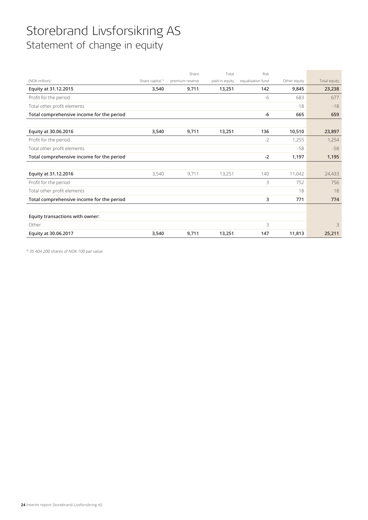## Storebrand Livsforsikring AS Statement of change in equity

| Total equity<br>23,238<br>677 |
|-------------------------------|
|                               |
|                               |
|                               |
| $-18$                         |
| 659                           |
|                               |
| 23,897                        |
| 1,254                         |
| $-58$                         |
| 1,195                         |
|                               |
| 24,433                        |
| 756                           |
| 18                            |
| 774                           |
|                               |
|                               |
| 3                             |
| 25,211                        |
|                               |

1) 35 404 200 shares of NOK 100 par value.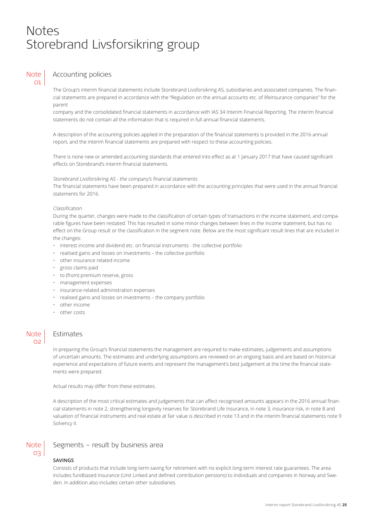## Notes Storebrand Livsforsikring group

### **Note**  $\Omega$

## Accounting policies

The Group's interim financial statements include Storebrand Livsforsikring AS, subsidiaries and associated companies. The financial statements are prepared in accordance with the "Regulation on the annual accounts etc. of lifeinsurance companies" for the parent

company and the consolidated financial statements in accordance with IAS 34 Interim Financial Reporting. The interim financial statements do not contain all the information that is required in full annual financial statements.

A description of the accounting policies applied in the preparation of the financial statements is provided in the 2016 annual report, and the interim financial statements are prepared with respect to these accounting policies.

There is none new or amended accounting standards that entered into effect as at 1 January 2017 that have caused significant effects on Storebrand's interim financial statements.

### Storebrand Livsforsikring AS - the company's financial statements

The financial statements have been prepared in accordance with the accounting principles that were used in the annual financial statements for 2016.

### Classification

During the quarter, changes were made to the classification of certain types of transactions in the income statement, and comparable figures have been restated. This has resulted in some minor changes between lines in the income statement, but has no effect on the Group result or the classification in the segment note. Below are the most significant result lines that are included in the changes:

- interest income and dividend etc. on financial instruments the collective portfolio
- realised gains and losses on investments the collective portfolio
- other insurance related income
- gross claims paid
- to (from) premium reserve, gross
- management expenses
- insurance-related administration expenses
- realised gains and losses on investments the company portfolio
- other income
- other costs

## **Note**  $\Omega$

Note 03

## Estimates

In preparing the Group's financial statements the management are required to make estimates, judgements and assumptions of uncertain amounts. The estimates and underlying assumptions are reviewed on an ongoing basis and are based on historical experience and expectations of future events and represent the management's best judgement at the time the financial statements were prepared.

Actual results may differ from these estimates.

A description of the most critical estimates and judgements that can affect recognised amounts appears in the 2016 annual financial statements in note 2, strengthening longevity reserves for Storebrand Life Insurance, in note 3, insurance risk, in note 8 and valuation of financial instruments and real estate at fair value is described in note 13 and in the interim financial statements note 9 Solvency II.

## Segments – result by business area

## **SAVINGS**

Consists of products that include long-term saving for retirement with no explicit long-term interest rate guarantees. The area includes fundbased insurance (Unit Linked and defined contribution pensions) to individuals and companies in Norway and Sweden. In addition also includes certain other subsidiaries.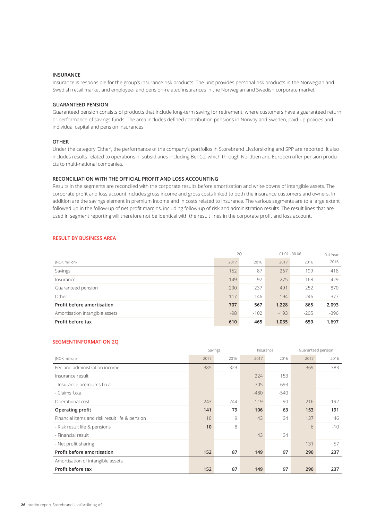### **INSURANCE**

Insurance is responsible for the group's insurance risk products. The unit provides personal risk products in the Norwegian and Swedish retail market and employee- and pension-related insurances in the Norwegian and Swedish corporate market

## **GUARANTEED PENSION**

Guaranteed pension consists of products that include long-term saving for retirement, where customers have a guaranteed return or performance of savings funds. The area includes defined contribution pensions in Norway and Sweden, paid-up policies and individual capital and pension insurances.

#### **OTHER**

Under the category 'Other', the performance of the company's portfolios in Storebrand Livsforsikring and SPP are reported. It also includes results related to operations in subsidiaries including BenCo, which through Nordben and Euroben offer pension products to multi-national companies.

### **RECONCILIATION WITH THE OFFICIAL PROFIT AND LOSS ACCOUNTING**

Results in the segments are reconciled with the corporate results before amortization and write-downs of intangible assets. The corporate profit and loss account includes gross income and gross costs linked to both the insurance customers and owners. In addition are the savings element in premium income and in costs related to insurance. The various segments are to a large extent followed up in the follow-up of net profit margins, including follow-up of risk and administration results. The result lines that are used in segment reporting will therefore not be identical with the result lines in the corporate profit and loss account.

### **RESULT BY BUSINESS AREA**

|                                | 2Q    |        |        | $01.01 - 30.06$ | Full Year |
|--------------------------------|-------|--------|--------|-----------------|-----------|
| (NOK million)                  | 2017  | 2016   | 2017   | 2016            | 2016      |
| Savings                        | 152   | 87     | 267    | 199             | 418       |
| Insurance                      | 149   | 97     | 275    | 168             | 429       |
| Guaranteed pension             | 290   | 237    | 491    | 252             | 870       |
| Other                          | 117   | 146    | 194    | 246             | 377       |
| Profit before amortisation     | 707   | 567    | 1,228  | 865             | 2,093     |
| Amortisation intangible assets | $-98$ | $-102$ | $-193$ | $-205$          | $-396$    |
| Profit before tax              | 610   | 465    | 1,035  | 659             | 1,697     |

## **SEGMENTINFORMATION 2Q**

|                                                |        | Savings |        | Insurance |        | Guaranteed pension |
|------------------------------------------------|--------|---------|--------|-----------|--------|--------------------|
| (NOK million)                                  | 2017   | 2016    | 2017   | 2016      | 2017   | 2016               |
| Fee and administration income                  | 385    | 323     |        |           | 369    | 383                |
| Insurance result                               |        |         | 224    | 153       |        |                    |
| - Insurance premiums f.o.a.                    |        |         | 705    | 693       |        |                    |
| - Claims f.o.a.                                |        |         | $-480$ | $-540$    |        |                    |
| Operational cost                               | $-243$ | $-244$  | $-119$ | -90       | $-216$ | $-192$             |
| Operating profit                               | 141    | 79      | 106    | 63        | 153    | 191                |
| Financial items and risk result life & pension | 10     | 9       | 43     | 34        | 137    | 46                 |
| - Risk result life & pensions                  | 10     | 8       |        |           | 6      | $-10$              |
| - Financial result                             |        |         | 43     | 34        |        |                    |
| - Net profit sharing                           |        |         |        |           | 131    | 57                 |
| Profit before amortisation                     | 152    | 87      | 149    | 97        | 290    | 237                |
| Amortisation of intangible assets              |        |         |        |           |        |                    |
| Profit before tax                              | 152    | 87      | 149    | 97        | 290    | 237                |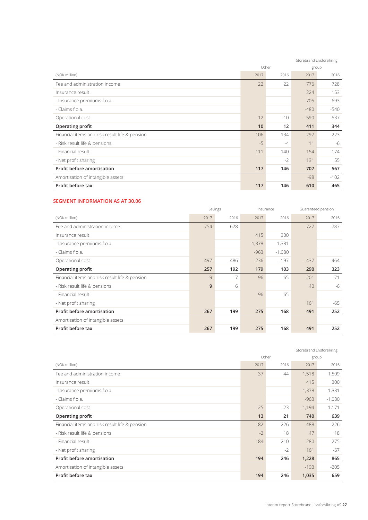|                                                |       |       |        | Storebrand Livsforsikring |
|------------------------------------------------|-------|-------|--------|---------------------------|
|                                                |       | Other |        | group                     |
| (NOK million)                                  | 2017  | 2016  | 2017   | 2016                      |
| Fee and administration income                  | 22    | 22    | 776    | 728                       |
| Insurance result                               |       |       | 224    | 153                       |
| - Insurance premiums f.o.a.                    |       |       | 705    | 693                       |
| - Claims f.o.a.                                |       |       | $-480$ | $-540$                    |
| Operational cost                               | $-12$ | $-10$ | $-590$ | $-537$                    |
| Operating profit                               | 10    | 12    | 411    | 344                       |
| Financial items and risk result life & pension | 106   | 134   | 297    | 223                       |
| - Risk result life & pensions                  | $-5$  | $-4$  | 11     | -6                        |
| - Financial result                             | 111   | 140   | 154    | 174                       |
| - Net profit sharing                           |       | $-2$  | 131    | 55                        |
| Profit before amortisation                     | 117   | 146   | 707    | 567                       |
| Amortisation of intangible assets              |       |       | $-98$  | $-102$                    |
| Profit before tax                              | 117   | 146   | 610    | 465                       |

## **SEGMENT INFORMATION AS AT 30.06**

|                                                |        | Savings |        | Insurance |        | Guaranteed pension |
|------------------------------------------------|--------|---------|--------|-----------|--------|--------------------|
| (NOK million)                                  | 2017   | 2016    | 2017   | 2016      | 2017   | 2016               |
| Fee and administration income                  | 754    | 678     |        |           | 727    | 787                |
| Insurance result                               |        |         | 415    | 300       |        |                    |
| - Insurance premiums f.o.a.                    |        |         | 1,378  | 1,381     |        |                    |
| - Claims f.o.a.                                |        |         | $-963$ | $-1,080$  |        |                    |
| Operational cost                               | $-497$ | -486    | $-236$ | $-197$    | $-437$ | -464               |
| <b>Operating profit</b>                        | 257    | 192     | 179    | 103       | 290    | 323                |
| Financial items and risk result life & pension | 9      | 7       | 96     | 65        | 201    | $-71$              |
| - Risk result life & pensions                  | 9      | 6       |        |           | 40     | -6                 |
| - Financial result                             |        |         | 96     | 65        |        |                    |
| - Net profit sharing                           |        |         |        |           | 161    | -65                |
| Profit before amortisation                     | 267    | 199     | 275    | 168       | 491    | 252                |
| Amortisation of intangible assets              |        |         |        |           |        |                    |
| Profit before tax                              | 267    | 199     | 275    | 168       | 491    | 252                |

|                                                |       |       |          | Storebrand Livsforsikring |
|------------------------------------------------|-------|-------|----------|---------------------------|
|                                                |       | Other |          | group                     |
| (NOK million)                                  | 2017  | 2016  | 2017     | 2016                      |
| Fee and administration income                  | 37    | 44    | 1,518    | 1,509                     |
| Insurance result                               |       |       | 415      | 300                       |
| - Insurance premiums f.o.a.                    |       |       | 1,378    | 1,381                     |
| - Claims f.o.a.                                |       |       | $-963$   | $-1,080$                  |
| Operational cost                               | $-25$ | $-23$ | $-1,194$ | $-1,171$                  |
| Operating profit                               | 13    | 21    | 740      | 639                       |
| Financial items and risk result life & pension | 182   | 226   | 488      | 226                       |
| - Risk result life & pensions                  | $-2$  | 18    | 47       | 18                        |
| - Financial result                             | 184   | 210   | 280      | 275                       |
| - Net profit sharing                           |       | $-2$  | 161      | $-67$                     |
| Profit before amortisation                     | 194   | 246   | 1,228    | 865                       |
| Amortisation of intangible assets              |       |       | $-193$   | $-205$                    |
| Profit before tax                              | 194   | 246   | 1,035    | 659                       |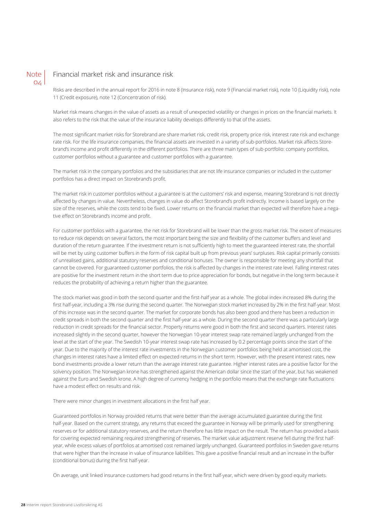

## Financial market risk and insurance risk

Risks are described in the annual report for 2016 in note 8 (Insurance risk), note 9 (Financial market risk), note 10 (Liquidity risk), note 11 (Credit exposure), note 12 (Concentration of risk).

Market risk means changes in the value of assets as a result of unexpected volatility or changes in prices on the financial markets. It also refers to the risk that the value of the insurance liability develops differently to that of the assets.

The most significant market risks for Storebrand are share market risk, credit risk, property price risk, interest rate risk and exchange rate risk. For the life insurance companies, the financial assets are invested in a variety of sub-portfolios. Market risk affects Storebrand's income and profit differently in the different portfolios. There are three main types of sub-portfolio: company portfolios, customer portfolios without a guarantee and customer portfolios with a guarantee.

The market risk in the company portfolios and the subsidiaries that are not life insurance companies or included in the customer portfolios has a direct impact on Storebrand's profit.

The market risk in customer portfolios without a guarantee is at the customers' risk and expense, meaning Storebrand is not directly affected by changes in value. Nevertheless, changes in value do affect Storebrand's profit indirectly. Income is based largely on the size of the reserves, while the costs tend to be fixed. Lower returns on the financial market than expected will therefore have a negative effect on Storebrand's income and profit.

For customer portfolios with a guarantee, the net risk for Storebrand will be lower than the gross market risk. The extent of measures to reduce risk depends on several factors, the most important being the size and flexibility of the customer buffers and level and duration of the return guarantee. If the investment return is not sufficiently high to meet the guaranteed interest rate, the shortfall will be met by using customer buffers in the form of risk capital built up from previous years' surpluses. Risk capital primarily consists of unrealised gains, additional statutory reserves and conditional bonuses. The owner is responsible for meeting any shortfall that cannot be covered. For guaranteed customer portfolios, the risk is affected by changes in the interest rate level. Falling interest rates are positive for the investment return in the short term due to price appreciation for bonds, but negative in the long term because it reduces the probability of achieving a return higher than the guarantee.

The stock market was good in both the second quarter and the first-half year as a whole. The global index increased 8% during the first half-year, including a 3% rise during the second quarter. The Norwegian stock market increased by 2% in the first half-year. Most of this increase was in the second quarter. The market for corporate bonds has also been good and there has been a reduction in credit spreads in both the second quarter and the first half-year as a whole. During the second quarter there was a particularly large reduction in credit spreads for the financial sector. Property returns were good in both the first and second quarters. Interest rates increased slightly in the second quarter, however the Norwegian 10-year interest swap rate remained largely unchanged from the level at the start of the year. The Swedish 10-year interest swap rate has increased by 0.2 percentage points since the start of the year. Due to the majority of the interest rate investments in the Norwegian customer portfolios being held at amortised cost, the changes in interest rates have a limited effect on expected returns in the short term. However, with the present interest rates, new bond investments provide a lower return than the average interest rate guarantee. Higher interest rates are a positive factor for the solvency position. The Norwegian krone has strengthened against the American dollar since the start of the year, but has weakened against the Euro and Swedish krone. A high degree of currency hedging in the portfolio means that the exchange rate fluctuations have a modest effect on results and risk.

There were minor changes in investment allocations in the first half year.

Guaranteed portfolios in Norway provided returns that were better than the average accumulated guarantee during the first half-year. Based on the current strategy, any returns that exceed the guarantee in Norway will be primarily used for strengthening reserves or for additional statutory reserves, and the return therefore has little impact on the result. The return has provided a basis for covering expected remaining required strengthening of reserves. The market value adjustment reserve fell during the first halfyear, while excess values of portfolios at amortised cost remained largely unchanged. Guaranteed portfolios in Sweden gave returns that were higher than the increase in value of insurance liabilities. This gave a positive financial result and an increase in the buffer (conditional bonus) during the first half-year.

On average, unit linked insurance customers had good returns in the first half-year, which were driven by good equity markets.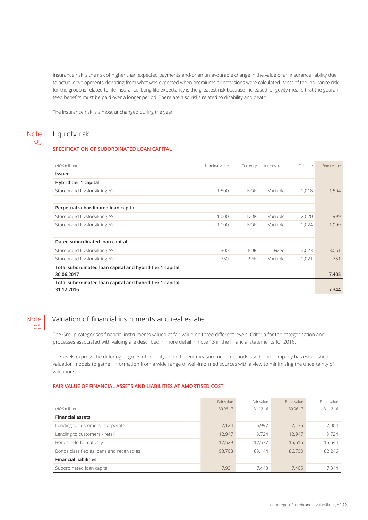Insurance risk is the risk of higher than expected payments and/or an unfavourable change in the value of an insurance liability due to actual developments deviating from what was expected when premiums or provisions were calculated. Most of the insurance risk for the group is related to life insurance. Long life expectancy is the greatest risk because increased longevity means that the guaranteed benefits must be paid over a longer period. There are also risks related to disability and death.

The insurance risk is almost unchanged during the year.

#### Liquidty risk Note 05

### **SPECIFICATION OF SUBORDINATED LOAN CAPITAL**

| (NOK million)                                             | Nominal value | Currency   | Interest rate | Call date | Book value |
|-----------------------------------------------------------|---------------|------------|---------------|-----------|------------|
| Issuer                                                    |               |            |               |           |            |
| Hybrid tier 1 capital                                     |               |            |               |           |            |
| Storebrand Livsforsikring AS                              | 1,500         | <b>NOK</b> | Variable      | 2,018     | 1,504      |
|                                                           |               |            |               |           |            |
| Perpetual subordinated loan capital                       |               |            |               |           |            |
| Storebrand Livsforsikring AS                              | 1 0 0 0       | <b>NOK</b> | Variable      | 2020      | 999        |
| Storebrand Livsforsikring AS                              | 1,100         | <b>NOK</b> | Variable      | 2,024     | 1,099      |
|                                                           |               |            |               |           |            |
| Dated subordinated loan capital                           |               |            |               |           |            |
| Storebrand Livsforsikring AS                              | 300           | <b>EUR</b> | Fixed         | 2,023     | 3,051      |
| Storebrand Livsforsikring AS                              | 750           | <b>SEK</b> | Variable      | 2,021     | 751        |
| Total subordinated loan capital and hybrid tier 1 capital |               |            |               |           |            |
| 30.06.2017                                                |               |            |               |           | 7,405      |
| Total subordinated loan capital and hybrid tier 1 capital |               |            |               |           |            |
| 31.12.2016                                                |               |            |               |           | 7,344      |

### **Note** 06

## Valuation of financial instruments and real estate

The Group categorises financial instruments valued at fair value on three different levels. Criteria for the categorisation and processes associated with valuing are described in more detail in note 13 in the financial statements for 2016.

The levels express the differing degrees of liquidity and different measurement methods used. The company has established valuation models to gather information from a wide range of well-informed sources with a view to minimising the uncertainty of valuations.

### **FAIR VALUE OF FINANCIAL ASSETS AND LIABILITIES AT AMORTISED COST**

|                                           | Fair value | Fair value | Book value | Book value |
|-------------------------------------------|------------|------------|------------|------------|
| (NOK million                              | 30.06.17   | 31.12.16   | 30.06.17   | 31.12.16   |
| <b>Financial assets</b>                   |            |            |            |            |
| Lending to customers - corporate          | 7.124      | 6.997      | 7.135      | 7.004      |
| Lending to customers - retail             | 12,947     | 9.724      | 12,947     | 9.724      |
| Bonds held to maturity                    | 17.529     | 17,537     | 15.615     | 15.644     |
| Bonds classified as loans and receivables | 93,708     | 89.144     | 86.790     | 82.246     |
| <b>Financial liabilities</b>              |            |            |            |            |
| Subordinated loan capital                 | 7.931      | 7.443      | 7.405      | 7.344      |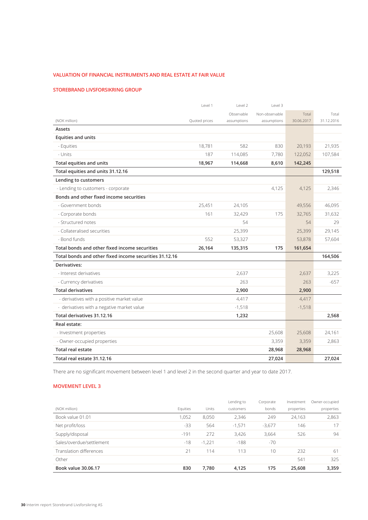## **VALUATION OF FINANCIAL INSTRUMENTS AND REAL ESTATE AT FAIR VALUE**

## **STOREBRAND LIVSFORSIKRING GROUP**

|                                                        | Level 1       | Level 2     | Level 3        |            |            |
|--------------------------------------------------------|---------------|-------------|----------------|------------|------------|
|                                                        |               | Observable  | Non-observable | Total      | Total      |
| (NOK million)                                          | Quoted prices | assumptions | assumptions    | 30.06.2017 | 31.12.2016 |
| Assets                                                 |               |             |                |            |            |
| <b>Equities and units</b>                              |               |             |                |            |            |
| - Equities                                             | 18,781        | 582         | 830            | 20,193     | 21,935     |
| - Units                                                | 187           | 114,085     | 7,780          | 122,052    | 107,584    |
| Total equities and units                               | 18,967        | 114,668     | 8,610          | 142,245    |            |
| Total equities and units 31.12.16                      |               |             |                |            | 129,518    |
| Lending to customers                                   |               |             |                |            |            |
| - Lending to customers - corporate                     |               |             | 4,125          | 4,125      | 2,346      |
| Bonds and other fixed income securities                |               |             |                |            |            |
| - Government bonds                                     | 25,451        | 24,105      |                | 49,556     | 46,095     |
| - Corporate bonds                                      | 161           | 32,429      | 175            | 32,765     | 31,632     |
| - Structured notes                                     |               | 54          |                | 54         | 29         |
| - Collateralised securities                            |               | 25,399      |                | 25,399     | 29,145     |
| - Bond funds                                           | 552           | 53,327      |                | 53,878     | 57,604     |
| Total bonds and other fixed income securities          | 26,164        | 135,315     | 175            | 161,654    |            |
| Total bonds and other fixed income securities 31.12.16 |               |             |                |            | 164,506    |
| Derivatives:                                           |               |             |                |            |            |
| - Interest derivatives                                 |               | 2,637       |                | 2,637      | 3,225      |
| - Currency derivatives                                 |               | 263         |                | 263        | $-657$     |
| <b>Total derivatives</b>                               |               | 2,900       |                | 2,900      |            |
| - derivatives with a positive market value             |               | 4,417       |                | 4,417      |            |
| - derivatives with a negative market value             |               | $-1,518$    |                | $-1,518$   |            |
| Total derivatives 31.12.16                             |               | 1,232       |                |            | 2,568      |
| Real estate:                                           |               |             |                |            |            |
| - Investment properties                                |               |             | 25,608         | 25,608     | 24,161     |
| - Owner-occupied properties                            |               |             | 3,359          | 3,359      | 2,863      |
| <b>Total real estate</b>                               |               |             | 28,968         | 28,968     |            |
| Total real estate 31.12.16                             |               |             | 27,024         |            | 27,024     |

There are no significant movement between level 1 and level 2 in the second quarter and year to date 2017.

## **MOVEMENT LEVEL 3**

|                          |          |          | Lending to | Corporate | Investment | Owner-occupied |
|--------------------------|----------|----------|------------|-----------|------------|----------------|
| (NOK million)            | Equities | Units    | customers  | bonds     | properties | properties     |
| Book value 01.01         | 1.052    | 8,050    | 2,346      | 249       | 24,163     | 2,863          |
| Net profit/loss          | $-33$    | 564      | $-1,571$   | $-3,677$  | 146        | 17             |
| Supply/disposal          | $-191$   | 272      | 3,426      | 3,664     | 526        | 94             |
| Sales/overdue/settlement | $-18$    | $-1,221$ | $-188$     | $-70$     |            |                |
| Translation differences  | 21       | 114      | 113        | 10        | 232        | -61            |
| Other                    |          |          |            |           | 541        | 325            |
| Book value 30.06.17      | 830      | 7,780    | 4,125      | 175       | 25,608     | 3,359          |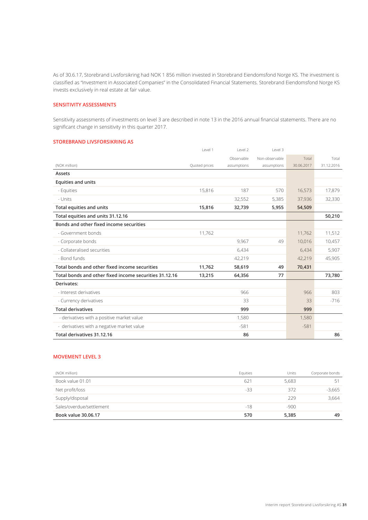As of 30.6.17, Storebrand Livsforsikring had NOK 1 856 million invested in Storebrand Eiendomsfond Norge KS. The investment is classified as "Investment in Associated Companies" in the Consolidated Financial Statements. Storebrand Eiendomsfond Norge KS invests exclusively in real estate at fair value.

## **SENSITIVITY ASSESSMENTS**

Sensitivity assessments of investments on level 3 are described in note 13 in the 2016 annual financial statements. There are no significant change in sensitivity in this quarter 2017.

## **STOREBRAND LIVSFORSIKRING AS**

|                                                        | Level 1       | Level 2     | Level 3        |            |            |
|--------------------------------------------------------|---------------|-------------|----------------|------------|------------|
|                                                        |               | Observable  | Non-observable | Total      | Total      |
| (NOK million)                                          | Quoted prices | assumptions | assumptions    | 30.06.2017 | 31.12.2016 |
| Assets                                                 |               |             |                |            |            |
| <b>Equities and units</b>                              |               |             |                |            |            |
| - Equities                                             | 15,816        | 187         | 570            | 16,573     | 17,879     |
| - Units                                                |               | 32,552      | 5,385          | 37,936     | 32,330     |
| Total equities and units                               | 15,816        | 32,739      | 5,955          | 54,509     |            |
| Total equities and units 31.12.16                      |               |             |                |            | 50,210     |
| Bonds and other fixed income securities                |               |             |                |            |            |
| - Government bonds                                     | 11,762        |             |                | 11,762     | 11,512     |
| - Corporate bonds                                      |               | 9.967       | 49             | 10,016     | 10,457     |
| - Collateralised securities                            |               | 6,434       |                | 6,434      | 5,907      |
| - Bond funds                                           |               | 42,219      |                | 42,219     | 45,905     |
| Total bonds and other fixed income securities          | 11,762        | 58,619      | 49             | 70,431     |            |
| Total bonds and other fixed income securities 31.12.16 | 13,215        | 64,356      | 77             |            | 73,780     |
| Derivates:                                             |               |             |                |            |            |
| - Interest derivatives                                 |               | 966         |                | 966        | 803        |
| - Currency derivatives                                 |               | 33          |                | 33         | $-716$     |
| <b>Total derivatives</b>                               |               | 999         |                | 999        |            |
| - derivatives with a positive market value             |               | 1,580       |                | 1,580      |            |
| - derivatives with a negative market value             |               | $-581$      |                | $-581$     |            |
| Total derivatives 31.12.16                             |               | 86          |                |            | 86         |

## **MOVEMENT LEVEL 3**

| (NOK million)            | Equities | Units  | Corporate bonds |
|--------------------------|----------|--------|-----------------|
| Book value 01.01         | 621      | 5.683  | 51              |
| Net profit/loss          | -33      | 372    | $-3,665$        |
| Supply/disposal          |          | 229    | 3,664           |
| Sales/overdue/settlement | $-18$    | $-900$ |                 |
| Book value 30.06.17      | 570      | 5,385  | 49              |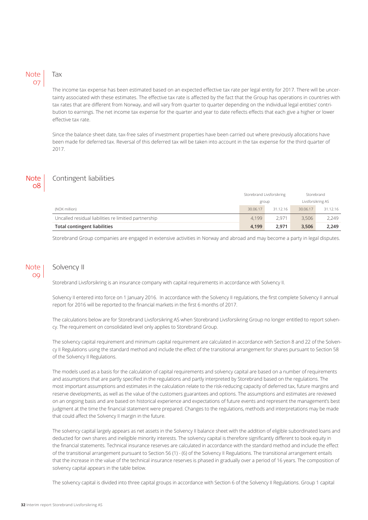## Note 07

## Tax

The income tax expense has been estimated based on an expected effective tax rate per legal entity for 2017. There will be uncertainty associated with these estimates. The effective tax rate is affected by the fact that the Group has operations in countries with tax rates that are different from Norway, and will vary from quarter to quarter depending on the individual legal entities' contribution to earnings. The net income tax expense for the quarter and year to date reflects effects that each give a higher or lower effective tax rate.

Since the balance sheet date, tax-free sales of investment properties have been carried out where previously allocations have been made for deferred tax. Reversal of this deferred tax will be taken into account in the tax expense for the third quarter of 2017.

## **Note** 08

## Contingent liabilities

|                                                       | Storebrand Livsforsikring |          | Storebrand        |          |
|-------------------------------------------------------|---------------------------|----------|-------------------|----------|
|                                                       | group                     |          | Livsforsikring AS |          |
| (NOK million)                                         | 30.06.17                  | 31.12.16 | 30.06.17          | 31.12.16 |
| Uncalled residual liabilities re limitied partnership | 4.199                     | 2.971    | 3.506             | 2.249    |
| <b>Total contingent liabilities</b>                   | 4.199                     | 2.971    | 3.506             | 2,249    |

Storebrand Group companies are engaged in extensive activities in Norway and abroad and may become a party in legal disputes.

## Note  $0<sup>0</sup>$

## Solvency II

Storebrand Livsforsikring is an insurance company with capital requirements in accordance with Solvency II.

Solvency II entered into force on 1 January 2016. In accordance with the Solvency II regulations, the first complete Solvency II annual report for 2016 will be reported to the financial markets in the first 6 months of 2017.

The calculations below are for Storebrand Livsforsikring AS when Storebrand Livsforsikring Group no longer entitled to report solvency. The requirement on consolidated level only applies to Storebrand Group.

The solvency capital requirement and minimum capital requirement are calculated in accordance with Section 8 and 22 of the Solvency II Regulations using the standard method and include the effect of the transitional arrangement for shares pursuant to Section 58 of the Solvency II Regulations.

The models used as a basis for the calculation of capital requirements and solvency capital are based on a number of requirements and assumptions that are partly specified in the regulations and partly interpreted by Storebrand based on the regulations. The most important assumptions and estimates in the calculation relate to the risk-reducing capacity of deferred tax, future margins and reserve developments, as well as the value of the customers guarantees and options. The assumptions and estimates are reviewed on an ongoing basis and are based on historical experience and expectations of future events and represent the management's best judgment at the time the financial statement were prepared. Changes to the regulations, methods and interpretations may be made that could affect the Solvency II margin in the future.

The solvency capital largely appears as net assets in the Solvency II balance sheet with the addition of eligible subordinated loans and deducted for own shares and ineligible minority interests. The solvency capital is therefore significantly different to book equity in the financial statements. Technical insurance reserves are calculated in accordance with the standard method and include the effect of the transitional arrangement pursuant to Section 56 (1) - (6) of the Solvency II Regulations. The transitional arrangement entails that the increase in the value of the technical insurance reserves is phased in gradually over a period of 16 years. The composition of solvency capital appears in the table below.

The solvency capital is divided into three capital groups in accordance with Section 6 of the Solvency II Regulations. Group 1 capital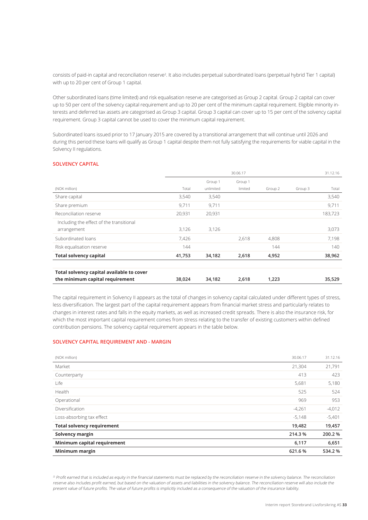consists of paid-in capital and reconciliation reserve<sup>2</sup>. It also includes perpetual subordinated loans (perpetual hybrid Tier 1 capital) with up to 20 per cent of Group 1 capital.

Other subordinated loans (time limited) and risk equalisation reserve are categorised as Group 2 capital. Group 2 capital can cover up to 50 per cent of the solvency capital requirement and up to 20 per cent of the minimum capital requirement. Eligible minority interests and deferred tax assets are categorised as Group 3 capital. Group 3 capital can cover up to 15 per cent of the solvency capital requirement. Group 3 capital cannot be used to cover the minimum capital requirement.

Subordinated loans issued prior to 17 January 2015 are covered by a transitional arrangement that will continue until 2026 and during this period these loans will qualify as Group 1 capital despite them not fully satisfying the requirements for viable capital in the Solvency II regulations.

### **SOLVENCY CAPITAL**

|                                           |        |           | 30.06.17 |         |         | 31.12.16 |
|-------------------------------------------|--------|-----------|----------|---------|---------|----------|
|                                           |        | Group 1   | Group 1  |         |         |          |
| (NOK million)                             | Total  | unlimited | limited  | Group 2 | Group 3 | Total    |
| Share capital                             | 3,540  | 3,540     |          |         |         | 3,540    |
| Share premium                             | 9,711  | 9,711     |          |         |         | 9,711    |
| Reconciliation reserve                    | 20,931 | 20,931    |          |         |         | 183,723  |
| Including the effect of the transitional  |        |           |          |         |         |          |
| arrangement                               | 3,126  | 3,126     |          |         |         | 3,073    |
| Subordinated loans                        | 7,426  |           | 2,618    | 4,808   |         | 7,198    |
| Risk equalisation reserve                 | 144    |           |          | 144     |         | 140      |
| <b>Total solvency capital</b>             | 41,753 | 34,182    | 2,618    | 4,952   |         | 38,962   |
|                                           |        |           |          |         |         |          |
| Total solvency capital available to cover |        |           |          |         |         |          |
| the minimum capital requirement           | 38,024 | 34,182    | 2,618    | 1,223   |         | 35,529   |

The capital requirement in Solvency II appears as the total of changes in solvency capital calculated under different types of stress, less diversification. The largest part of the capital requirement appears from financial market stress and particularly relates to changes in interest rates and falls in the equity markets, as well as increased credit spreads. There is also the insurance risk, for which the most important capital requirement comes from stress relating to the transfer of existing customers within defined contribution pensions. The solvency capital requirement appears in the table below.

## **SOLVENCY CAPITAL REQUIREMENT AND - MARGIN**

| (NOK million)                     | 30.06.17 | 31.12.16 |
|-----------------------------------|----------|----------|
| Market                            | 21,304   | 21,791   |
| Counterparty                      | 413      | 423      |
| Life                              | 5,681    | 5,180    |
| Health                            | 525      | 524      |
| Operational                       | 969      | 953      |
| Diversification                   | $-4,261$ | $-4,012$ |
| Loss-absorbing tax effect         | $-5,148$ | $-5,401$ |
| <b>Total solvency requirement</b> | 19,482   | 19,457   |
| Solvency margin                   | 214.3%   | 200.2 %  |
| Minimum capital requirement       | 6,117    | 6,651    |
| Minimum margin                    | 621.6%   | 534.2 %  |

<sup>2)</sup> Profit earned that is included as equity in the financial statements must be replaced by the reconciliation reserve in the solvency balance. The reconciliation reserve also includes profit earned, but based on the valuation of assets and liabilities in the solvency balance. The reconciliation reserve will also include the present value of future profits. The value of future profits is implicitly included as a consequence of the valuation of the insurance liability.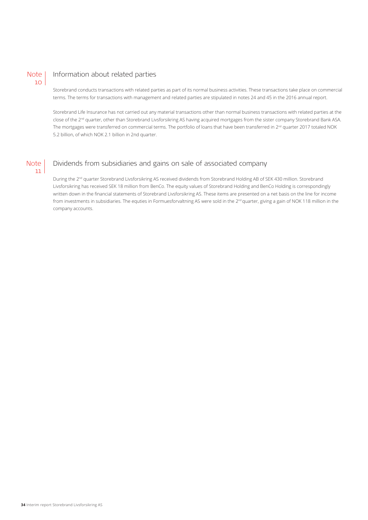

## Information about related parties

company accounts.

Storebrand conducts transactions with related parties as part of its normal business activities. These transactions take place on commercial terms. The terms for transactions with management and related parties are stipulated in notes 24 and 45 in the 2016 annual report.

Storebrand Life Insurance has not carried out any material transactions other than normal business transactions with related parties at the close of the 2<sup>nd</sup> quarter, other than Storebrand Livsforsikring AS having acquired mortgages from the sister company Storebrand Bank ASA. The mortgages were transferred on commercial terms. The portfolio of loans that have been transferred in 2<sup>nd</sup> quarter 2017 totaled NOK 5.2 billion, of which NOK 2.1 billion in 2nd quarter.

#### Dividends from subsidiaries and gains on sale of associated company **Note** 11

During the 2nd quarter Storebrand Livsforsikring AS received dividends from Storebrand Holding AB of SEK 430 million. Storebrand Livsforsikring has received SEK 18 million from BenCo. The equity values of Storebrand Holding and BenCo Holding is correspondingly written down in the financial statements of Storebrand Livsforsikring AS. These items are presented on a net basis on the line for income from investments in subsidiaries. The equties in Formuesforvaltning AS were sold in the 2<sup>nd</sup> quarter, giving a gain of NOK 118 million in the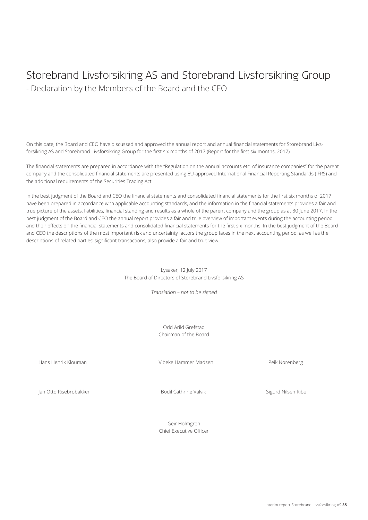## Storebrand Livsforsikring AS and Storebrand Livsforsikring Group - Declaration by the Members of the Board and the CEO

On this date, the Board and CEO have discussed and approved the annual report and annual financial statements for Storebrand Livsforsikring AS and Storebrand Livsforsikring Group for the first six months of 2017 (Report for the first six months, 2017).

The financial statements are prepared in accordance with the "Regulation on the annual accounts etc. of insurance companies" for the parent company and the consolidated financial statements are presented using EU-approved International Financial Reporting Standards (IFRS) and the additional requirements of the Securities Trading Act.

In the best judgment of the Board and CEO the financial statements and consolidated financial statements for the first six months of 2017 have been prepared in accordance with applicable accounting standards, and the information in the financial statements provides a fair and true picture of the assets, liabilities, financial standing and results as a whole of the parent company and the group as at 30 June 2017. In the best judgment of the Board and CEO the annual report provides a fair and true overview of important events during the accounting period and their effects on the financial statements and consolidated financial statements for the first six months. In the best judgment of the Board and CEO the descriptions of the most important risk and uncertainty factors the group faces in the next accounting period, as well as the descriptions of related parties' significant transactions, also provide a fair and true view.

> Lysaker, 12 July 2017 The Board of Directors of Storebrand Livsforsikring AS

> > Translation – not to be signed

Odd Arild Grefstad Chairman of the Board

Hans Henrik Klouman Vibeke Hammer Madsen Peik Norenberg

Jan Otto Risebrobakken Bodil Cathrine Valvik Sigurd Nilsen Ribu

Geir Holmgren Chief Executive Officer